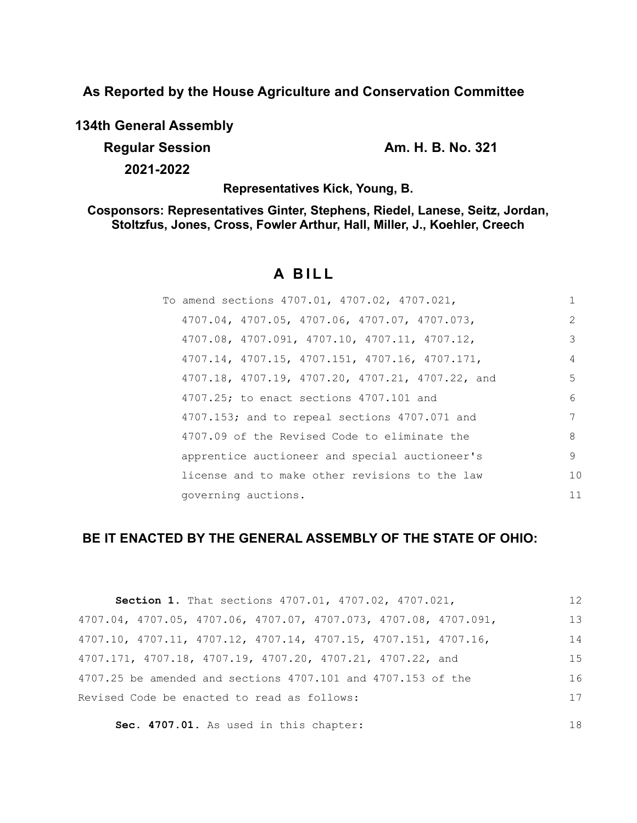**As Reported by the House Agriculture and Conservation Committee**

**134th General Assembly**

**Regular Session Am. H. B. No. 321 2021-2022**

18

**Representatives Kick, Young, B.**

**Cosponsors: Representatives Ginter, Stephens, Riedel, Lanese, Seitz, Jordan, Stoltzfus, Jones, Cross, Fowler Arthur, Hall, Miller, J., Koehler, Creech**

# **A BILL**

| To amend sections 4707.01, 4707.02, 4707.021,    | 1              |
|--------------------------------------------------|----------------|
| 4707.04, 4707.05, 4707.06, 4707.07, 4707.073,    | $\mathcal{L}$  |
| 4707.08, 4707.091, 4707.10, 4707.11, 4707.12,    | 3              |
| 4707.14, 4707.15, 4707.151, 4707.16, 4707.171,   | $\overline{4}$ |
| 4707.18, 4707.19, 4707.20, 4707.21, 4707.22, and | 5              |
| 4707.25; to enact sections 4707.101 and          | 6              |
| 4707.153; and to repeal sections 4707.071 and    | 7              |
| 4707.09 of the Revised Code to eliminate the     | 8              |
| apprentice auctioneer and special auctioneer's   | 9              |
| license and to make other revisions to the law   | 10             |
| governing auctions.                              | 11             |

# **BE IT ENACTED BY THE GENERAL ASSEMBLY OF THE STATE OF OHIO:**

| Section 1. That sections 4707.01, 4707.02, 4707.021,                                 | 12  |
|--------------------------------------------------------------------------------------|-----|
| 4707.04, 4707.05, 4707.06, 4707.07, 4707.073, 4707.08, 4707.091,                     | 13  |
| $4707.10$ , $4707.11$ , $4707.12$ , $4707.14$ , $4707.15$ , $4707.151$ , $4707.16$ , | 14  |
| 4707.171, 4707.18, 4707.19, 4707.20, 4707.21, 4707.22, and                           | 1.5 |
| 4707.25 be amended and sections 4707.101 and 4707.153 of the                         | 16  |
| Revised Code be enacted to read as follows:                                          | 17  |
|                                                                                      |     |

**Sec. 4707.01.** As used in this chapter: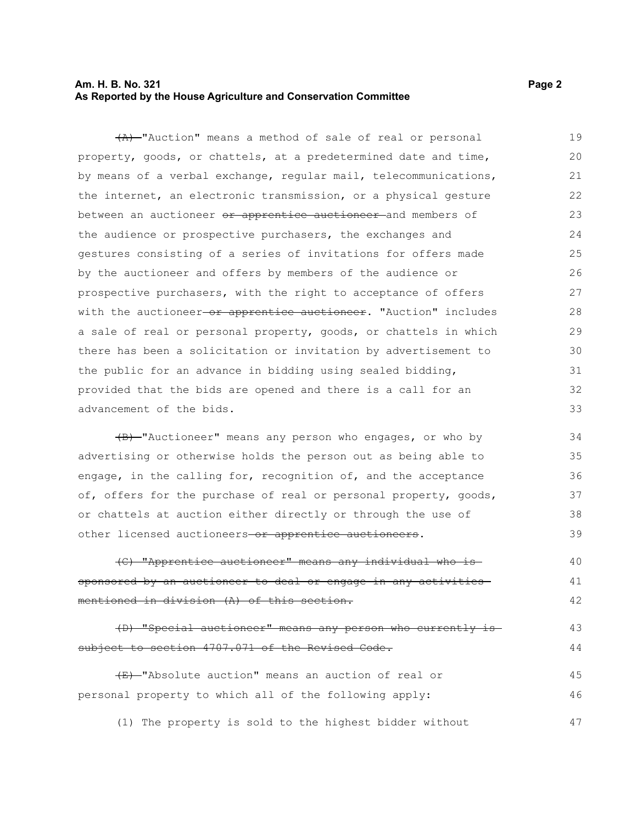#### **Am. H. B. No. 321** Page 2 **As Reported by the House Agriculture and Conservation Committee**

(A) "Auction" means a method of sale of real or personal property, goods, or chattels, at a predetermined date and time, by means of a verbal exchange, regular mail, telecommunications, the internet, an electronic transmission, or a physical gesture between an auctioneer or apprentice auctioneer and members of the audience or prospective purchasers, the exchanges and gestures consisting of a series of invitations for offers made by the auctioneer and offers by members of the audience or prospective purchasers, with the right to acceptance of offers with the auctioneer-or apprentice auctioneer. "Auction" includes a sale of real or personal property, goods, or chattels in which there has been a solicitation or invitation by advertisement to the public for an advance in bidding using sealed bidding, provided that the bids are opened and there is a call for an advancement of the bids. 19 20 21 22 23 24 25 26 27 28 29 30 31 32 33

(B) "Auctioneer" means any person who engages, or who by advertising or otherwise holds the person out as being able to engage, in the calling for, recognition of, and the acceptance of, offers for the purchase of real or personal property, goods, or chattels at auction either directly or through the use of other licensed auctioneers-or apprentice auctioneers. 34 35 36 37 38 39

(C) "Apprentice auctioneer" means any individual who is sponsored by an auctioneer to deal or engage in any activities mentioned in division (A) of this section. 40 41 42

(D) "Special auctioneer" means any person who currently is subject to section 4707.071 of the Revised Code. 43 44

(E) "Absolute auction" means an auction of real or personal property to which all of the following apply: 45 46

(1) The property is sold to the highest bidder without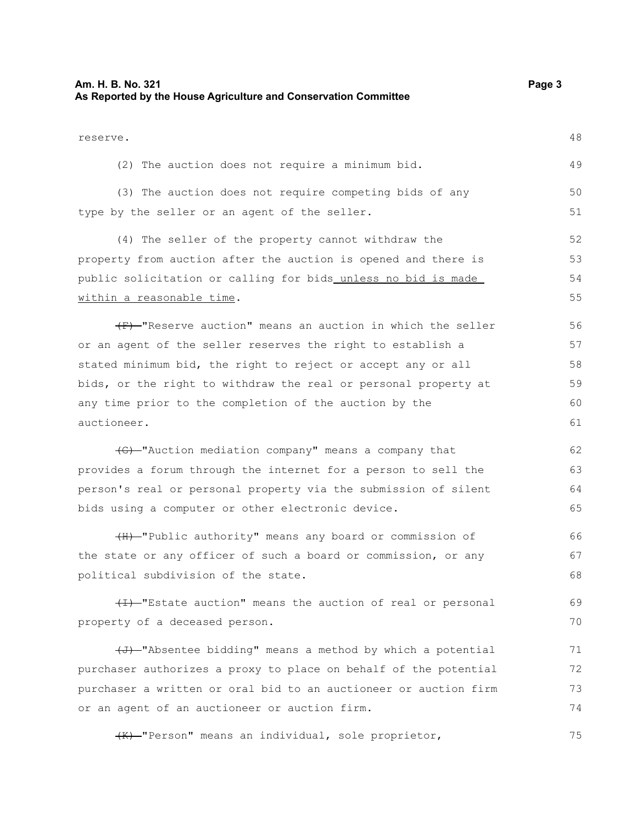#### **Am. H. B. No. 321** Page 3 **As Reported by the House Agriculture and Conservation Committee** reserve. (2) The auction does not require a minimum bid. (3) The auction does not require competing bids of any type by the seller or an agent of the seller. (4) The seller of the property cannot withdraw the property from auction after the auction is opened and there is public solicitation or calling for bids unless no bid is made within a reasonable time.  $(F)$  "Reserve auction" means an auction in which the seller or an agent of the seller reserves the right to establish a stated minimum bid, the right to reject or accept any or all bids, or the right to withdraw the real or personal property at any time prior to the completion of the auction by the auctioneer. (G) "Auction mediation company" means a company that provides a forum through the internet for a person to sell the person's real or personal property via the submission of silent bids using a computer or other electronic device. (H) "Public authority" means any board or commission of the state or any officer of such a board or commission, or any political subdivision of the state.  $(H)$ -"Estate auction" means the auction of real or personal property of a deceased person.  $\overline{+J}$  "Absentee bidding" means a method by which a potential purchaser authorizes a proxy to place on behalf of the potential purchaser a written or oral bid to an auctioneer or auction firm or an agent of an auctioneer or auction firm. 48 49 50 51 52 53 54 55 56 57 58 59 60 61 62 63 64 65 66 67 68 69 70 71 72 73 74

(K) "Person" means an individual, sole proprietor, 75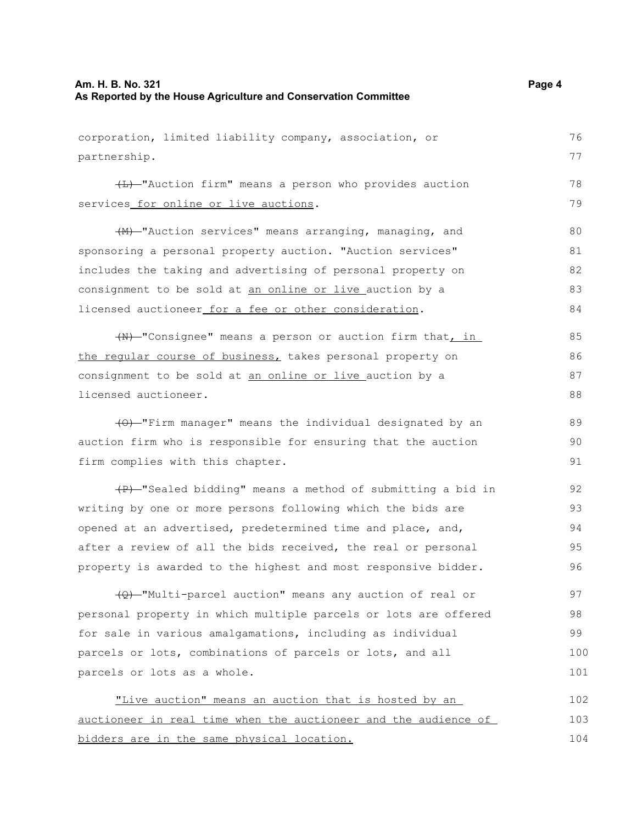#### **Am. H. B. No. 321** Page 4 **As Reported by the House Agriculture and Conservation Committee**

corporation, limited liability company, association, or partnership. (L) "Auction firm" means a person who provides auction services for online or live auctions. (M) "Auction services" means arranging, managing, and sponsoring a personal property auction. "Auction services" includes the taking and advertising of personal property on consignment to be sold at an online or live auction by a licensed auctioneer for a fee or other consideration. (N) "Consignee" means a person or auction firm that, in the regular course of business, takes personal property on consignment to be sold at an online or live auction by a licensed auctioneer. (O) "Firm manager" means the individual designated by an auction firm who is responsible for ensuring that the auction firm complies with this chapter. (P) "Sealed bidding" means a method of submitting a bid in writing by one or more persons following which the bids are 76 77 78 79 80 81 82 83 84 85 86 87 88 89 90 91 92 93

opened at an advertised, predetermined time and place, and, after a review of all the bids received, the real or personal property is awarded to the highest and most responsive bidder. 94 95 96

(Q) "Multi-parcel auction" means any auction of real or personal property in which multiple parcels or lots are offered for sale in various amalgamations, including as individual parcels or lots, combinations of parcels or lots, and all parcels or lots as a whole. 97 98 99 100 101

"Live auction" means an auction that is hosted by an auctioneer in real time when the auctioneer and the audience of bidders are in the same physical location. 102 103 104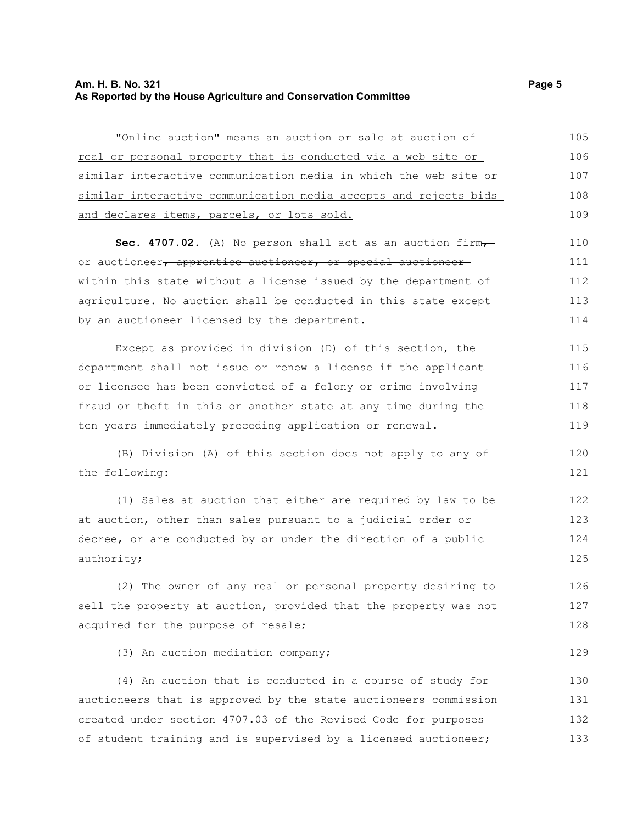#### **Am. H. B. No. 321** Page 5 **As Reported by the House Agriculture and Conservation Committee**

| "Online auction" means an auction or sale at auction of                         | 105 |
|---------------------------------------------------------------------------------|-----|
| <u>real or personal property that is conducted via a web site or </u>           | 106 |
| similar interactive communication media in which the web site or                | 107 |
| similar interactive communication media accepts and rejects bids                | 108 |
| and declares items, parcels, or lots sold.                                      | 109 |
| <b>Sec. 4707.02.</b> (A) No person shall act as an auction firm $\tau$          | 110 |
| <u>or</u> auctioneer <del>, apprentice auctioneer, or special auctioneer-</del> | 111 |
| within this state without a license issued by the department of                 | 112 |
| agriculture. No auction shall be conducted in this state except                 | 113 |
| by an auctioneer licensed by the department.                                    | 114 |
| Except as provided in division (D) of this section, the                         | 115 |
| department shall not issue or renew a license if the applicant                  | 116 |
| or licensee has been convicted of a felony or crime involving                   | 117 |
| fraud or theft in this or another state at any time during the                  | 118 |
| ten years immediately preceding application or renewal.                         | 119 |
| (B) Division (A) of this section does not apply to any of                       | 120 |
| the following:                                                                  | 121 |
|                                                                                 |     |

(1) Sales at auction that either are required by law to be at auction, other than sales pursuant to a judicial order or decree, or are conducted by or under the direction of a public authority; 122 123 124 125

(2) The owner of any real or personal property desiring to sell the property at auction, provided that the property was not acquired for the purpose of resale; 126 127 128

(3) An auction mediation company;

(4) An auction that is conducted in a course of study for auctioneers that is approved by the state auctioneers commission created under section 4707.03 of the Revised Code for purposes of student training and is supervised by a licensed auctioneer; 130 131 132 133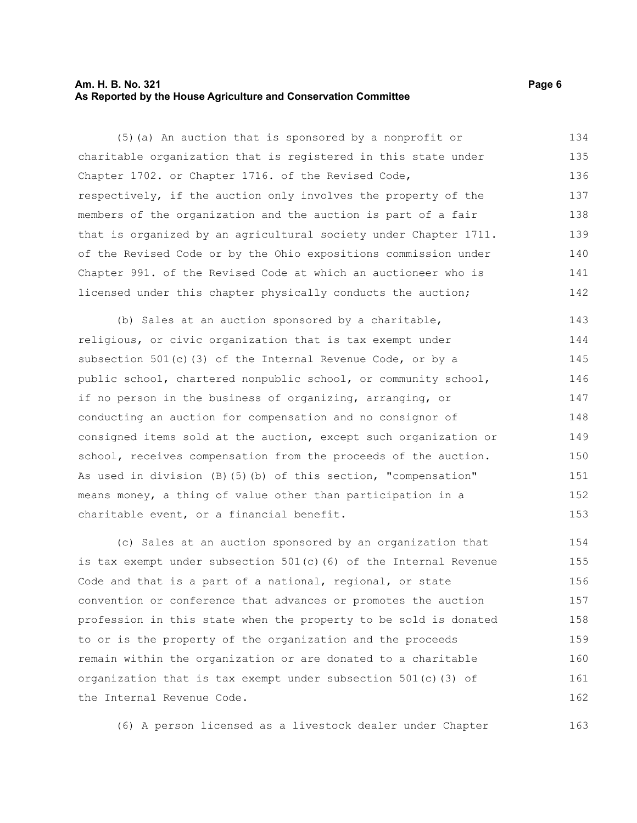#### **Am. H. B. No. 321** Page 6 **As Reported by the House Agriculture and Conservation Committee**

(5)(a) An auction that is sponsored by a nonprofit or charitable organization that is registered in this state under Chapter 1702. or Chapter 1716. of the Revised Code, respectively, if the auction only involves the property of the members of the organization and the auction is part of a fair that is organized by an agricultural society under Chapter 1711. of the Revised Code or by the Ohio expositions commission under Chapter 991. of the Revised Code at which an auctioneer who is licensed under this chapter physically conducts the auction; 134 135 136 137 138 139 140 141 142

(b) Sales at an auction sponsored by a charitable, religious, or civic organization that is tax exempt under subsection 501(c)(3) of the Internal Revenue Code, or by a public school, chartered nonpublic school, or community school, if no person in the business of organizing, arranging, or conducting an auction for compensation and no consignor of consigned items sold at the auction, except such organization or school, receives compensation from the proceeds of the auction. As used in division (B)(5)(b) of this section, "compensation" means money, a thing of value other than participation in a charitable event, or a financial benefit. 143 144 145 146 147 148 149 150 151 152 153

(c) Sales at an auction sponsored by an organization that is tax exempt under subsection 501(c)(6) of the Internal Revenue Code and that is a part of a national, regional, or state convention or conference that advances or promotes the auction profession in this state when the property to be sold is donated to or is the property of the organization and the proceeds remain within the organization or are donated to a charitable organization that is tax exempt under subsection 501(c)(3) of the Internal Revenue Code. 154 155 156 157 158 159 160 161 162

(6) A person licensed as a livestock dealer under Chapter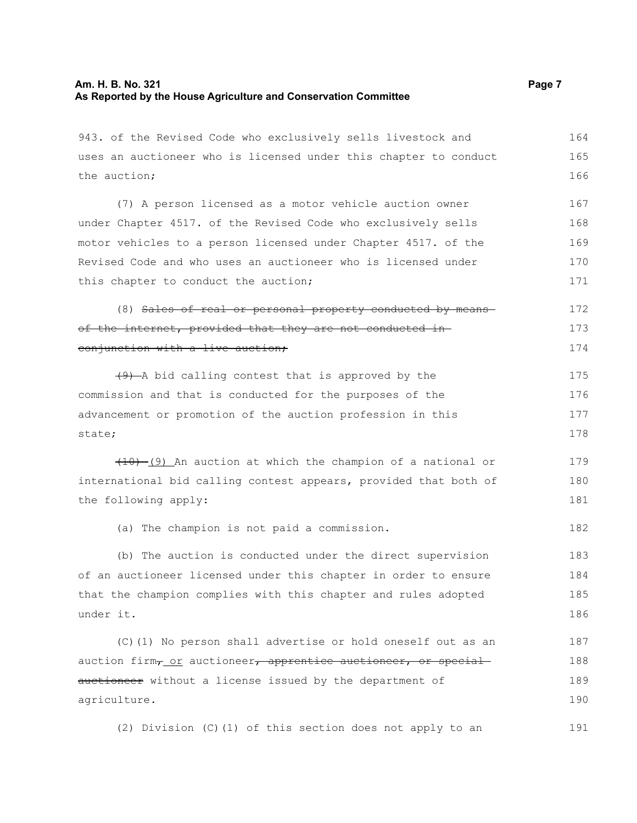#### **Am. H. B. No. 321** Page 7 **As Reported by the House Agriculture and Conservation Committee**

943. of the Revised Code who exclusively sells livestock and uses an auctioneer who is licensed under this chapter to conduct the auction; 164 165 166

(7) A person licensed as a motor vehicle auction owner under Chapter 4517. of the Revised Code who exclusively sells motor vehicles to a person licensed under Chapter 4517. of the Revised Code and who uses an auctioneer who is licensed under this chapter to conduct the auction; 167 168 169 170 171

(8) Sales of real or personal property conducted by means of the internet, provided that they are not conducted in conjunction with a live auction; 172 173 174

 $(9)$  -A bid calling contest that is approved by the commission and that is conducted for the purposes of the advancement or promotion of the auction profession in this state; 175 176 177 178

 $(10)$  (9) An auction at which the champion of a national or international bid calling contest appears, provided that both of the following apply: 179 180 181

(a) The champion is not paid a commission. 182

(b) The auction is conducted under the direct supervision of an auctioneer licensed under this chapter in order to ensure that the champion complies with this chapter and rules adopted under it. 183 184 185 186

(C)(1) No person shall advertise or hold oneself out as an auction firm<sub>7</sub> or auctioneer, apprentice auctioneer, or special auctioneer without a license issued by the department of agriculture. 187 188 189 190

(2) Division (C)(1) of this section does not apply to an 191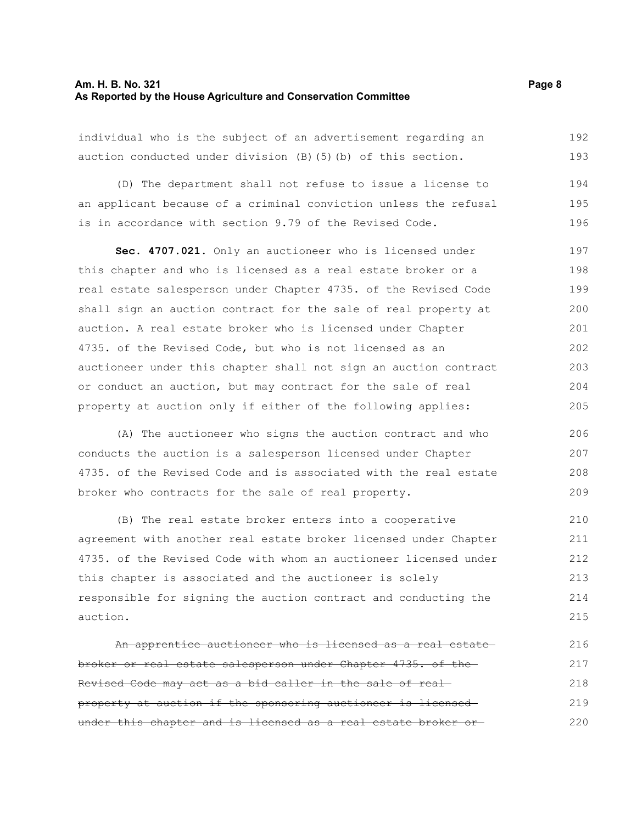#### **Am. H. B. No. 321** Page 8 **As Reported by the House Agriculture and Conservation Committee**

individual who is the subject of an advertisement regarding an auction conducted under division (B)(5)(b) of this section. 192 193

(D) The department shall not refuse to issue a license to an applicant because of a criminal conviction unless the refusal is in accordance with section 9.79 of the Revised Code. 194 195 196

**Sec. 4707.021.** Only an auctioneer who is licensed under this chapter and who is licensed as a real estate broker or a real estate salesperson under Chapter 4735. of the Revised Code shall sign an auction contract for the sale of real property at auction. A real estate broker who is licensed under Chapter 4735. of the Revised Code, but who is not licensed as an auctioneer under this chapter shall not sign an auction contract or conduct an auction, but may contract for the sale of real property at auction only if either of the following applies: 197 198 199 200 201 202 203 204 205

(A) The auctioneer who signs the auction contract and who conducts the auction is a salesperson licensed under Chapter 4735. of the Revised Code and is associated with the real estate broker who contracts for the sale of real property.

(B) The real estate broker enters into a cooperative agreement with another real estate broker licensed under Chapter 4735. of the Revised Code with whom an auctioneer licensed under this chapter is associated and the auctioneer is solely responsible for signing the auction contract and conducting the auction. 210 211 212 213 214 215

An apprentice auctioneer who is licensed as a real estate broker or real estate salesperson under Chapter 4735. of the Revised Code may act as a bid caller in the sale of real property at auction if the sponsoring auctioneer is licensed under this chapter and is licensed as a real estate broker or 216 217 218 219 220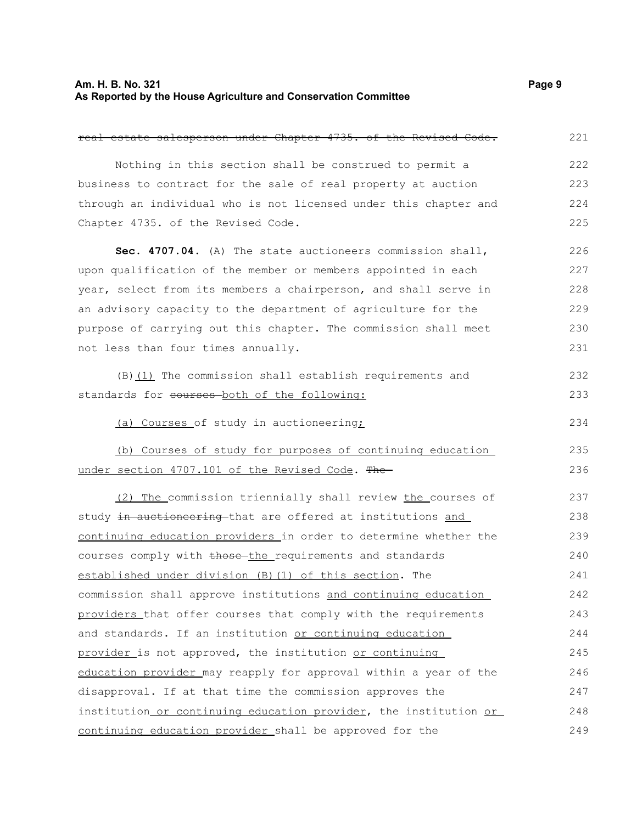#### **Am. H. B. No. 321** Page 9 **As Reported by the House Agriculture and Conservation Committee**

real estate salesperson under Chapter 4735. of the Revised Code. Nothing in this section shall be construed to permit a business to contract for the sale of real property at auction through an individual who is not licensed under this chapter and Chapter 4735. of the Revised Code. **Sec. 4707.04.** (A) The state auctioneers commission shall, upon qualification of the member or members appointed in each year, select from its members a chairperson, and shall serve in an advisory capacity to the department of agriculture for the purpose of carrying out this chapter. The commission shall meet not less than four times annually. (B) (1) The commission shall establish requirements and standards for courses both of the following: (a) Courses of study in auctioneering; (b) Courses of study for purposes of continuing education under section 4707.101 of the Revised Code. The (2) The commission triennially shall review the courses of study in auctioneering that are offered at institutions and continuing education providers in order to determine whether the courses comply with those the requirements and standards established under division (B)(1) of this section. The commission shall approve institutions and continuing education providers that offer courses that comply with the requirements and standards. If an institution or continuing education provider is not approved, the institution or continuing education provider may reapply for approval within a year of the disapproval. If at that time the commission approves the institution or continuing education provider, the institution or continuing education provider shall be approved for the 221 222 223 224 225 226 227 228 229 230 231 232 233 234 235 236 237 238 239 240 241 242 243 244 245 246 247 248 249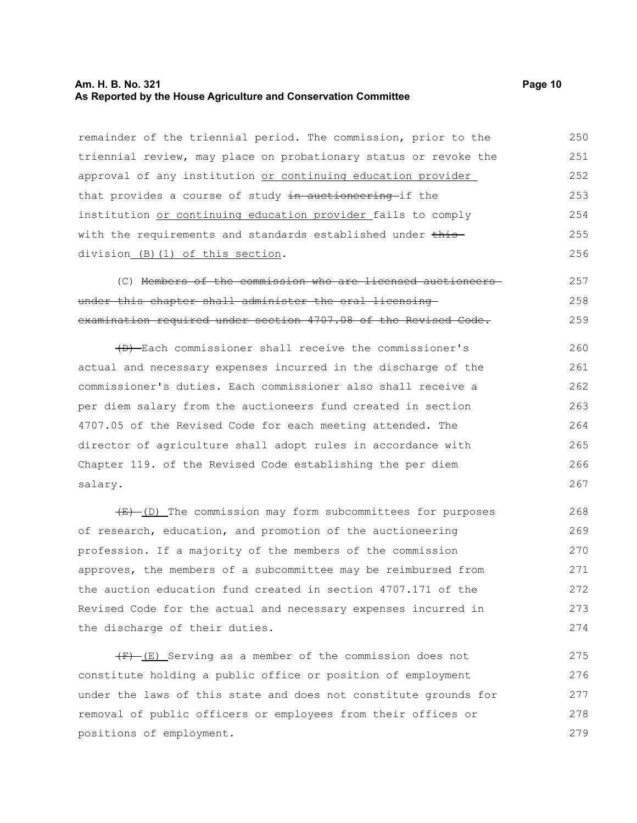#### **Am. H. B. No. 321 Page 10 As Reported by the House Agriculture and Conservation Committee**

remainder of the triennial period. The commission, prior to the triennial review, may place on probationary status or revoke the approval of any institution or continuing education provider that provides a course of study in auctioneering if the institution or continuing education provider fails to comply with the requirements and standards established under thisdivision (B)(1) of this section. 250 251 252 253 254 255 256

(C) Members of the commission who are licensed auctioneers under this chapter shall administer the oral licensing examination required under section 4707.08 of the Revised Code. 257 258 259

(D) Each commissioner shall receive the commissioner's actual and necessary expenses incurred in the discharge of the commissioner's duties. Each commissioner also shall receive a per diem salary from the auctioneers fund created in section 4707.05 of the Revised Code for each meeting attended. The director of agriculture shall adopt rules in accordance with Chapter 119. of the Revised Code establishing the per diem salary. 260 261 262 263 264 265 266 267

 $(E)$  (D) The commission may form subcommittees for purposes of research, education, and promotion of the auctioneering profession. If a majority of the members of the commission approves, the members of a subcommittee may be reimbursed from the auction education fund created in section 4707.171 of the Revised Code for the actual and necessary expenses incurred in the discharge of their duties. 268 269 270 271 272 273 274

 $(F)$  (E) Serving as a member of the commission does not constitute holding a public office or position of employment under the laws of this state and does not constitute grounds for removal of public officers or employees from their offices or positions of employment. 275 276 277 278 279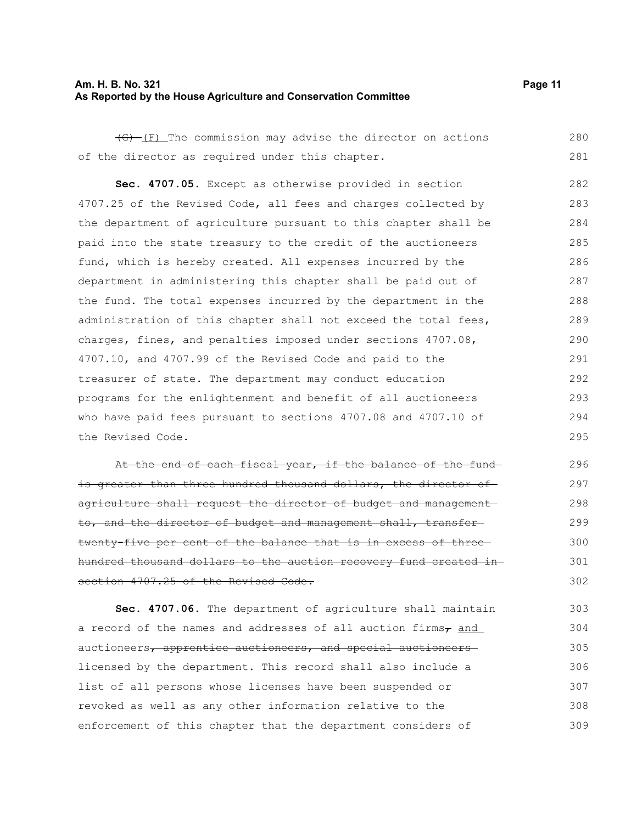#### **Am. H. B. No. 321 Page 11 As Reported by the House Agriculture and Conservation Committee**

 $\overline{(G) - (F)}$  The commission may advise the director on actions of the director as required under this chapter. 280 281

**Sec. 4707.05.** Except as otherwise provided in section 4707.25 of the Revised Code, all fees and charges collected by the department of agriculture pursuant to this chapter shall be paid into the state treasury to the credit of the auctioneers fund, which is hereby created. All expenses incurred by the department in administering this chapter shall be paid out of the fund. The total expenses incurred by the department in the administration of this chapter shall not exceed the total fees, charges, fines, and penalties imposed under sections 4707.08, 4707.10, and 4707.99 of the Revised Code and paid to the treasurer of state. The department may conduct education programs for the enlightenment and benefit of all auctioneers who have paid fees pursuant to sections 4707.08 and 4707.10 of the Revised Code. 282 283 284 285 286 287 288 289 290 291 292 293 294 295

At the end of each fiscal year, if the balance of the fundis greater than three hundred thousand dollars, the director of agriculture shall request the director of budget and management to, and the director of budget and management shall, transfertwenty-five per cent of the balance that is in excess of threehundred thousand dollars to the auction recovery fund created in section 4707.25 of the Revised Code. 296 297 298 299 300 301 302

**Sec. 4707.06.** The department of agriculture shall maintain a record of the names and addresses of all auction firms $_7$  and auctioneers, apprentice auctioneers, and special auctioneers licensed by the department. This record shall also include a list of all persons whose licenses have been suspended or revoked as well as any other information relative to the enforcement of this chapter that the department considers of 303 304 305 306 307 308 309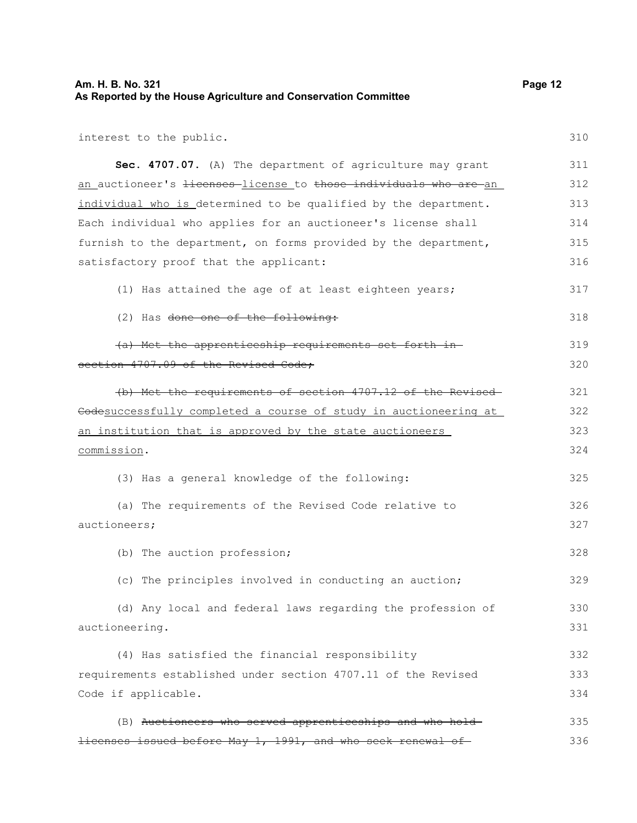# **Am. H. B. No. 321** Page 12 **As Reported by the House Agriculture and Conservation Committee**

interest to the public.

| Sec. 4707.07. (A) The department of agriculture may grant                    | 311 |
|------------------------------------------------------------------------------|-----|
| an auctioneer's <del>licenses</del> -license to those individuals who are an | 312 |
| individual who is determined to be qualified by the department.              | 313 |
| Each individual who applies for an auctioneer's license shall                | 314 |
| furnish to the department, on forms provided by the department,              | 315 |
| satisfactory proof that the applicant:                                       | 316 |
| (1) Has attained the age of at least eighteen years;                         | 317 |
| (2) Has done one of the following:                                           | 318 |
| (a) Met the apprenticeship requirements set forth in                         | 319 |
| section 4707.09 of the Revised Code;                                         | 320 |
| (b) Met the requirements of section 4707.12 of the Revised-                  | 321 |
| Codesuccessfully completed a course of study in auctioneering at             | 322 |
| an institution that is approved by the state auctioneers                     | 323 |
| commission.                                                                  | 324 |
| (3) Has a general knowledge of the following:                                | 325 |
| (a) The requirements of the Revised Code relative to                         | 326 |
| auctioneers;                                                                 | 327 |
| (b) The auction profession;                                                  | 328 |
| (c) The principles involved in conducting an auction;                        | 329 |
| (d) Any local and federal laws regarding the profession of                   | 330 |
| auctioneering.                                                               | 331 |
| (4) Has satisfied the financial responsibility                               | 332 |
| requirements established under section 4707.11 of the Revised                | 333 |
| Code if applicable.                                                          | 334 |
| (B) Auctioneers who served apprenticeships and who hold-                     | 335 |
| licenses issued before May 1, 1991, and who seek renewal of                  | 336 |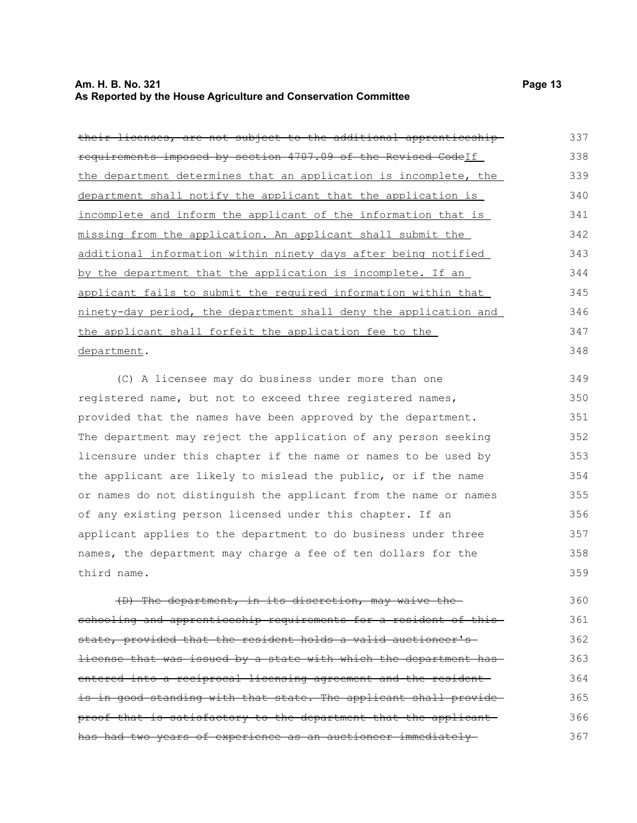#### **Am. H. B. No. 321 Page 13 As Reported by the House Agriculture and Conservation Committee**

| their licenses, are not subject to the additional apprenticeship- | 337 |
|-------------------------------------------------------------------|-----|
| requirements imposed by section 4707.09 of the Revised Codelf     | 338 |
| the department determines that an application is incomplete, the  | 339 |
| department shall notify the applicant that the application is     | 340 |
| incomplete and inform the applicant of the information that is    | 341 |
| missing from the application. An applicant shall submit the       | 342 |
| additional information within ninety days after being notified    | 343 |
| by the department that the application is incomplete. If an       | 344 |
| applicant fails to submit the required information within that    | 345 |
| ninety-day period, the department shall deny the application and  | 346 |
| the applicant shall forfeit the application fee to the            | 347 |
| department.                                                       | 348 |

(C) A licensee may do business under more than one registered name, but not to exceed three registered names, provided that the names have been approved by the department. The department may reject the application of any person seeking licensure under this chapter if the name or names to be used by the applicant are likely to mislead the public, or if the name or names do not distinguish the applicant from the name or names of any existing person licensed under this chapter. If an applicant applies to the department to do business under three names, the department may charge a fee of ten dollars for the third name. 349 350 351 352 353 354 355 356 357 358 359

(D) The department, in its discretion, may waive the schooling and apprenticeship requirements for a resident of this state, provided that the resident holds a valid auctioneer's license that was issued by a state with which the department has entered into a reciprocal licensing agreement and the resident is in good standing with that state. The applicant shall provideproof that is satisfactory to the department that the applicant has had two years of experience as an auctioneer immediately 360 361 362 363 364 365 366 367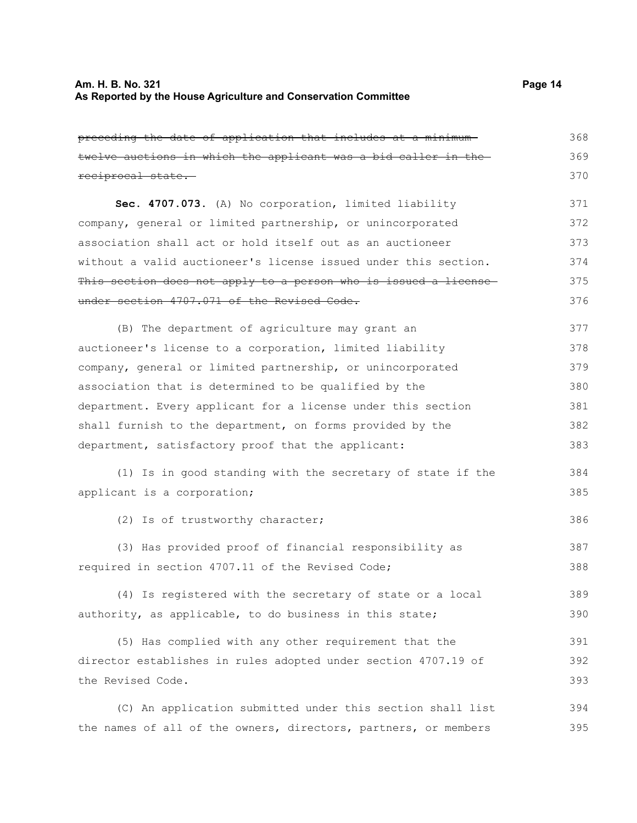| preceding the date of application that includes at a minimum-   | 368 |
|-----------------------------------------------------------------|-----|
| twelve auctions in which the applicant was a bid caller in the  | 369 |
| reciprocal state.                                               | 370 |
| Sec. 4707.073. (A) No corporation, limited liability            | 371 |
| company, general or limited partnership, or unincorporated      | 372 |
| association shall act or hold itself out as an auctioneer       | 373 |
| without a valid auctioneer's license issued under this section. | 374 |
| This section does not apply to a person who is issued a license | 375 |
| under section 4707.071 of the Revised Code.                     | 376 |
| (B) The department of agriculture may grant an                  | 377 |
| auctioneer's license to a corporation, limited liability        | 378 |
| company, general or limited partnership, or unincorporated      | 379 |
| association that is determined to be qualified by the           | 380 |
| department. Every applicant for a license under this section    | 381 |
| shall furnish to the department, on forms provided by the       | 382 |
| department, satisfactory proof that the applicant:              | 383 |
| (1) Is in good standing with the secretary of state if the      | 384 |
| applicant is a corporation;                                     | 385 |
| (2) Is of trustworthy character;                                | 386 |
| (3) Has provided proof of financial responsibility as           | 387 |
| required in section 4707.11 of the Revised Code;                | 388 |
| (4) Is registered with the secretary of state or a local        | 389 |
| authority, as applicable, to do business in this state;         | 390 |
| (5) Has complied with any other requirement that the            | 391 |
| director establishes in rules adopted under section 4707.19 of  | 392 |
| the Revised Code.                                               | 393 |
| (C) An application submitted under this section shall list      | 394 |

the names of all of the owners, directors, partners, or members 395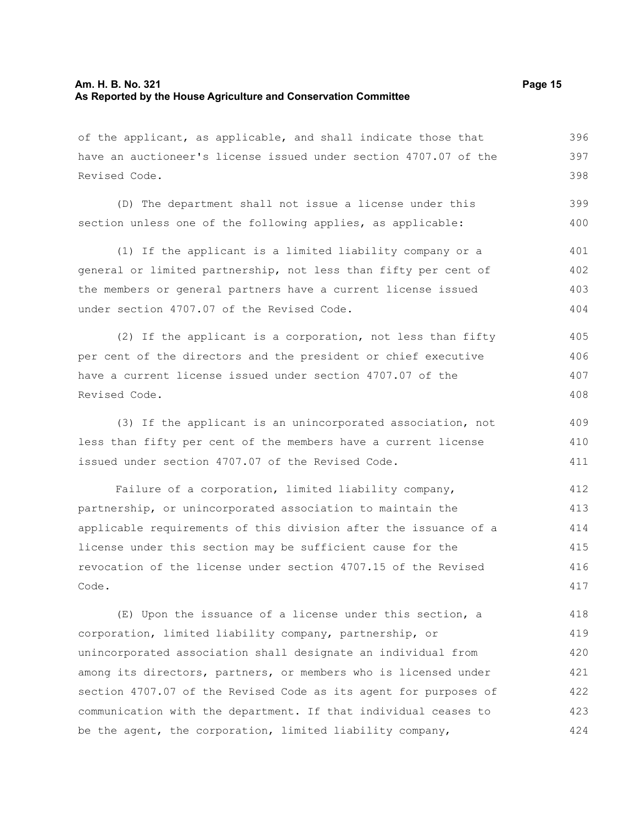Revised Code.

408

of the applicant, as applicable, and shall indicate those that have an auctioneer's license issued under section 4707.07 of the Revised Code. (D) The department shall not issue a license under this section unless one of the following applies, as applicable: (1) If the applicant is a limited liability company or a general or limited partnership, not less than fifty per cent of the members or general partners have a current license issued under section 4707.07 of the Revised Code. (2) If the applicant is a corporation, not less than fifty per cent of the directors and the president or chief executive have a current license issued under section 4707.07 of the 396 397 398 399 400 401 402 403 404 405 406 407

(3) If the applicant is an unincorporated association, not less than fifty per cent of the members have a current license issued under section 4707.07 of the Revised Code. 409 410 411

Failure of a corporation, limited liability company, partnership, or unincorporated association to maintain the applicable requirements of this division after the issuance of a license under this section may be sufficient cause for the revocation of the license under section 4707.15 of the Revised Code. 412 413 414 415 416 417

(E) Upon the issuance of a license under this section, a corporation, limited liability company, partnership, or unincorporated association shall designate an individual from among its directors, partners, or members who is licensed under section 4707.07 of the Revised Code as its agent for purposes of communication with the department. If that individual ceases to be the agent, the corporation, limited liability company, 418 419 420 421 422 423 424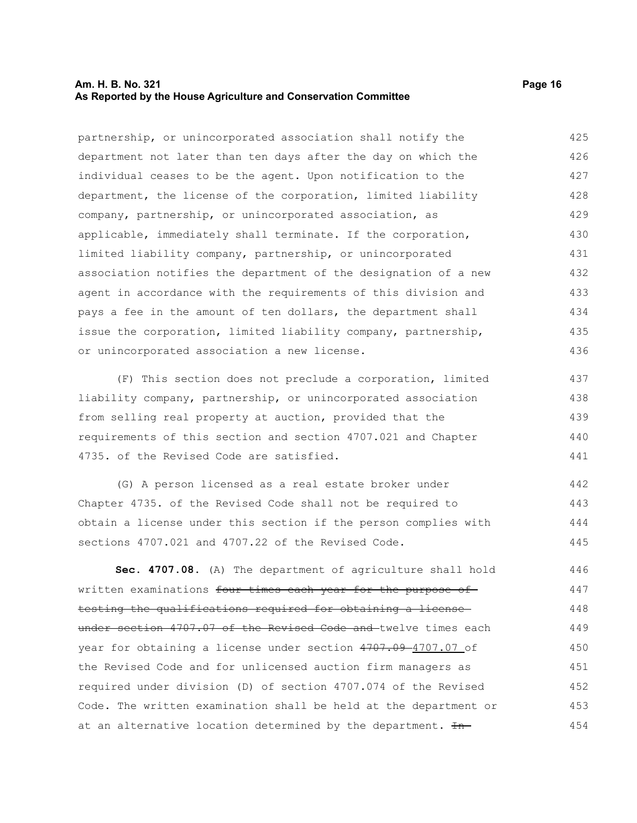#### **Am. H. B. No. 321 Page 16 As Reported by the House Agriculture and Conservation Committee**

partnership, or unincorporated association shall notify the department not later than ten days after the day on which the individual ceases to be the agent. Upon notification to the department, the license of the corporation, limited liability company, partnership, or unincorporated association, as applicable, immediately shall terminate. If the corporation, limited liability company, partnership, or unincorporated association notifies the department of the designation of a new agent in accordance with the requirements of this division and pays a fee in the amount of ten dollars, the department shall issue the corporation, limited liability company, partnership, or unincorporated association a new license. 425 426 427 428 429 430 431 432 433 434 435 436

(F) This section does not preclude a corporation, limited liability company, partnership, or unincorporated association from selling real property at auction, provided that the requirements of this section and section 4707.021 and Chapter 4735. of the Revised Code are satisfied.

(G) A person licensed as a real estate broker under Chapter 4735. of the Revised Code shall not be required to obtain a license under this section if the person complies with sections 4707.021 and 4707.22 of the Revised Code. 442 443 444 445

**Sec. 4707.08.** (A) The department of agriculture shall hold written examinations four times each year for the purpose of testing the qualifications required for obtaining a license under section 4707.07 of the Revised Code and twelve times each year for obtaining a license under section 4707.09-4707.07 of the Revised Code and for unlicensed auction firm managers as required under division (D) of section 4707.074 of the Revised Code. The written examination shall be held at the department or at an alternative location determined by the department.  $H_{n-}$ 446 447 448 449 450 451 452 453 454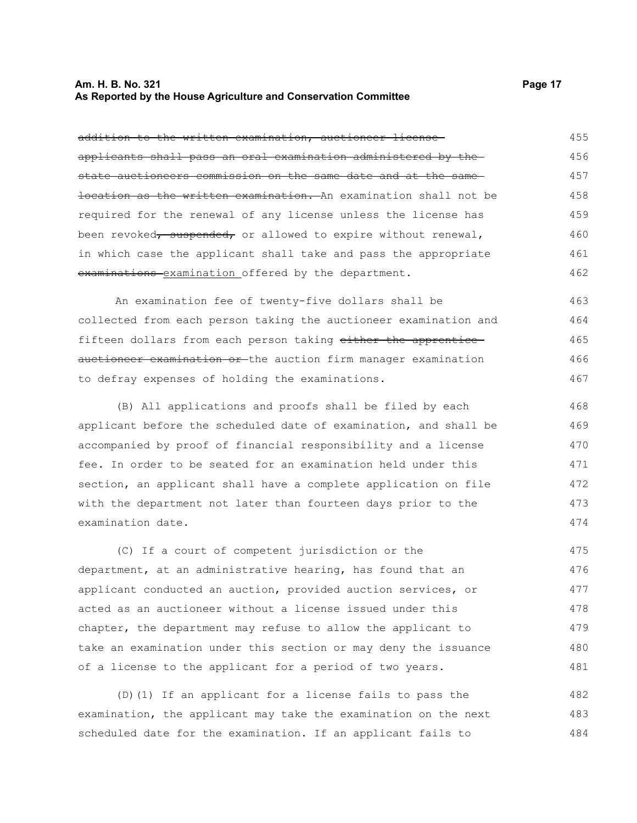#### **Am. H. B. No. 321 Page 17 As Reported by the House Agriculture and Conservation Committee**

| addition to the written examination, auctioneer license-         | 455 |
|------------------------------------------------------------------|-----|
| applicants shall pass an oral examination administered by the    | 456 |
| state auctioneers commission on the same date and at the same-   | 457 |
| location as the written examination. An examination shall not be | 458 |
| required for the renewal of any license unless the license has   | 459 |
| been revoked, suspended, or allowed to expire without renewal,   | 460 |
| in which case the applicant shall take and pass the appropriate  | 461 |
| examinations examination offered by the department.              | 462 |
| An examination fee of twenty-five dollars shall be               | 463 |
| collected from each person taking the auctioneer examination and | 464 |
| fifteen dollars from each person taking either the apprentice-   | 465 |
| auctioneer examination or the auction firm manager examination   | 466 |
| to defray expenses of holding the examinations.                  | 467 |
| (B) All applications and proofs shall be filed by each           | 468 |
| applicant before the scheduled date of examination, and shall be | 469 |
| accompanied by proof of financial responsibility and a license   | 470 |
| fee. In order to be seated for an examination held under this    | 471 |
| section, an applicant shall have a complete application on file  | 472 |
| with the department not later than fourteen days prior to the    | 473 |
| examination date.                                                | 474 |
| (C) If a court of competent jurisdiction or the                  | 475 |
| department, at an administrative hearing, has found that an      | 476 |
| applicant conducted an auction, provided auction services, or    | 477 |
| acted as an auctioneer without a license issued under this       | 478 |
| chapter, the department may refuse to allow the applicant to     | 479 |
| take an examination under this section or may deny the issuance  | 480 |
| of a license to the applicant for a period of two years.         | 481 |

(D)(1) If an applicant for a license fails to pass the examination, the applicant may take the examination on the next scheduled date for the examination. If an applicant fails to 482 483 484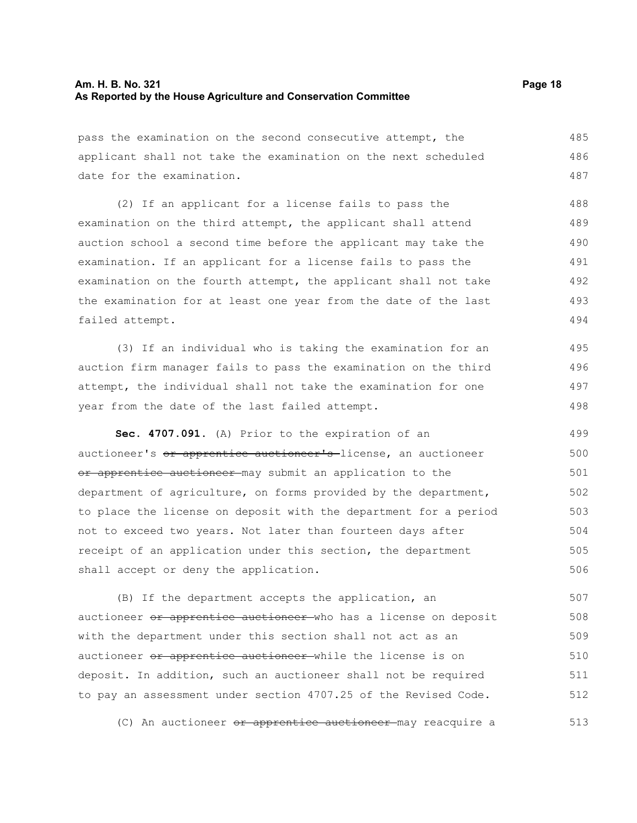pass the examination on the second consecutive attempt, the applicant shall not take the examination on the next scheduled date for the examination. 485 486 487

(2) If an applicant for a license fails to pass the examination on the third attempt, the applicant shall attend auction school a second time before the applicant may take the examination. If an applicant for a license fails to pass the examination on the fourth attempt, the applicant shall not take the examination for at least one year from the date of the last failed attempt. 488 489 490 491 492 493 494

(3) If an individual who is taking the examination for an auction firm manager fails to pass the examination on the third attempt, the individual shall not take the examination for one year from the date of the last failed attempt. 495 496 497 498

**Sec. 4707.091.** (A) Prior to the expiration of an auctioneer's or apprentice auctioneer's license, an auctioneer or apprentice auctioneer may submit an application to the department of agriculture, on forms provided by the department, to place the license on deposit with the department for a period not to exceed two years. Not later than fourteen days after receipt of an application under this section, the department shall accept or deny the application. 499 500 501 502 503 504 505 506

(B) If the department accepts the application, an auctioneer or apprentice auctioneer who has a license on deposit with the department under this section shall not act as an auctioneer or apprentice auctioneer while the license is on deposit. In addition, such an auctioneer shall not be required to pay an assessment under section 4707.25 of the Revised Code. 507 508 509 510 511 512

(C) An auctioneer <del>or apprentice auctioneer</del> may reacquire a 513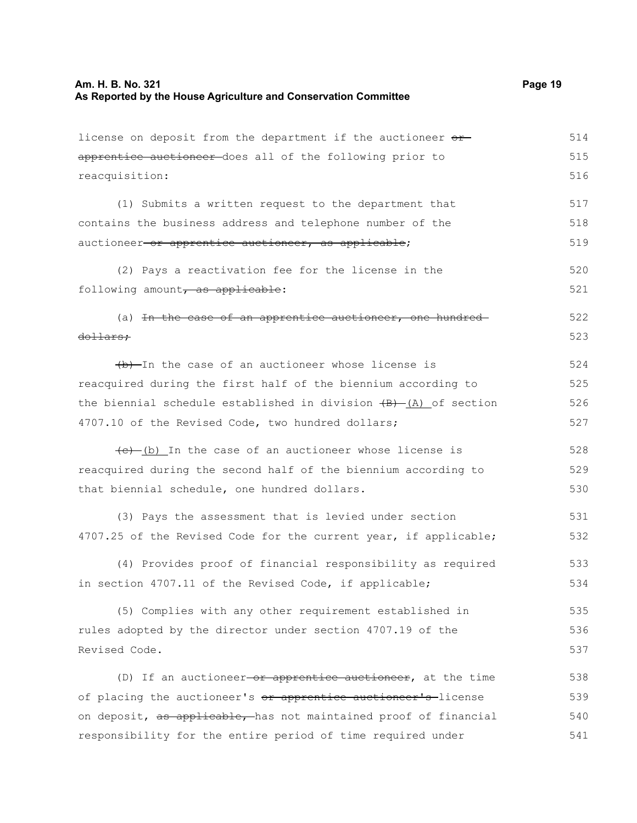| license on deposit from the department if the auctioneer or                     | 514 |
|---------------------------------------------------------------------------------|-----|
| apprentice auctioneer does all of the following prior to                        | 515 |
| reacquisition:                                                                  | 516 |
| (1) Submits a written request to the department that                            | 517 |
| contains the business address and telephone number of the                       | 518 |
| auctioneer or apprentice auctioneer, as applicable;                             | 519 |
| (2) Pays a reactivation fee for the license in the                              | 520 |
| following amount, as applicable:                                                | 521 |
| (a) In the case of an apprentice auctioneer, one hundred-                       | 522 |
| dollars;                                                                        | 523 |
| (b) In the case of an auctioneer whose license is                               | 524 |
| reacquired during the first half of the biennium according to                   | 525 |
| the biennial schedule established in division $\overline{(B) - (A)}$ of section | 526 |
| 4707.10 of the Revised Code, two hundred dollars;                               | 527 |
| $(e)$ (b) In the case of an auctioneer whose license is                         | 528 |
| reacquired during the second half of the biennium according to                  | 529 |
| that biennial schedule, one hundred dollars.                                    | 530 |
| (3) Pays the assessment that is levied under section                            | 531 |
| 4707.25 of the Revised Code for the current year, if applicable;                | 532 |
| (4) Provides proof of financial responsibility as required                      | 533 |
| in section 4707.11 of the Revised Code, if applicable;                          | 534 |
| (5) Complies with any other requirement established in                          | 535 |
| rules adopted by the director under section 4707.19 of the                      | 536 |
| Revised Code.                                                                   | 537 |
| (D) If an auctioneer or apprentice auctioneer, at the time                      | 538 |
| of placing the auctioneer's or apprentice auctioneer's license                  | 539 |
| on deposit, as applicable, has not maintained proof of financial                | 540 |
| responsibility for the entire period of time required under                     | 541 |
|                                                                                 |     |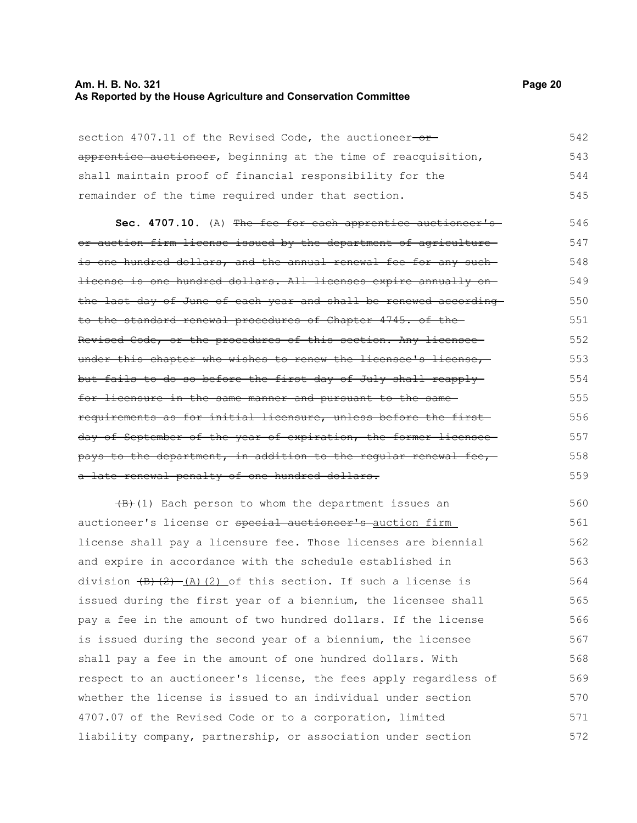#### **Am. H. B. No. 321 Page 20 As Reported by the House Agriculture and Conservation Committee**

| section 4707.11 of the Revised Code, the auctioneer-or-        | 542 |
|----------------------------------------------------------------|-----|
| apprentice auctioneer, beginning at the time of reacquisition, | 543 |
| shall maintain proof of financial responsibility for the       | 544 |
| remainder of the time required under that section.             | 545 |

Sec. 4707.10. (A) The fee for each apprentice auctioneer'sor auction firm license issued by the department of agriculture is one hundred dollars, and the annual renewal fee for any suchlicense is one hundred dollars. All licenses expire annually on the last day of June of each year and shall be renewed according to the standard renewal procedures of Chapter 4745. of the Revised Code, or the procedures of this section. Any licensee under this chapter who wishes to renew the licensee's license, but fails to do so before the first day of July shall reapply for licensure in the same manner and pursuant to the same requirements as for initial licensure, unless before the first day of September of the year of expiration, the former licensee pays to the department, in addition to the regular renewal fee, a late renewal penalty of one hundred dollars. 546 547 548 549 550 551 552 553 554 555 556 557 558 559

 $(B)$ (1) Each person to whom the department issues an auctioneer's license or special auctioneer's auction firm license shall pay a licensure fee. Those licenses are biennial and expire in accordance with the schedule established in division  $\left(\frac{B}{2}\right)$  (A)(2) of this section. If such a license is issued during the first year of a biennium, the licensee shall pay a fee in the amount of two hundred dollars. If the license is issued during the second year of a biennium, the licensee shall pay a fee in the amount of one hundred dollars. With respect to an auctioneer's license, the fees apply regardless of whether the license is issued to an individual under section 4707.07 of the Revised Code or to a corporation, limited liability company, partnership, or association under section 560 561 562 563 564 565 566 567 568 569 570 571 572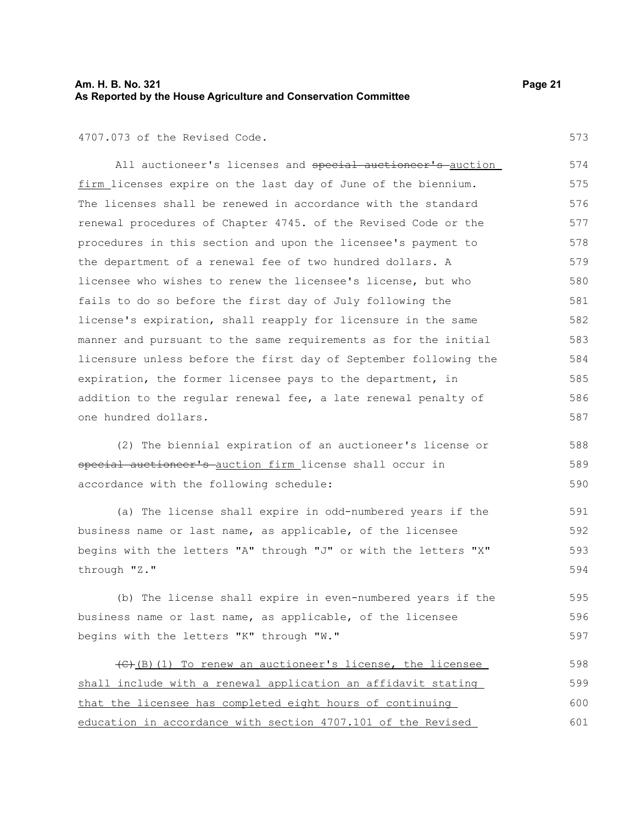#### **Am. H. B. No. 321 Page 21 As Reported by the House Agriculture and Conservation Committee**

573

#### 4707.073 of the Revised Code.

All auctioneer's licenses and special auctioneer's auction firm licenses expire on the last day of June of the biennium. The licenses shall be renewed in accordance with the standard renewal procedures of Chapter 4745. of the Revised Code or the procedures in this section and upon the licensee's payment to the department of a renewal fee of two hundred dollars. A licensee who wishes to renew the licensee's license, but who fails to do so before the first day of July following the license's expiration, shall reapply for licensure in the same manner and pursuant to the same requirements as for the initial licensure unless before the first day of September following the expiration, the former licensee pays to the department, in addition to the regular renewal fee, a late renewal penalty of one hundred dollars. 574 575 576 577 578 579 580 581 582 583 584 585 586 587

(2) The biennial expiration of an auctioneer's license or special auctioneer's auction firm license shall occur in accordance with the following schedule: 588 589 590

(a) The license shall expire in odd-numbered years if the business name or last name, as applicable, of the licensee begins with the letters "A" through "J" or with the letters "X" through "Z." 591 592 593 594

(b) The license shall expire in even-numbered years if the business name or last name, as applicable, of the licensee begins with the letters "K" through "W." 595 596 597

(C)(B)(1) To renew an auctioneer's license, the licensee shall include with a renewal application an affidavit stating that the licensee has completed eight hours of continuing education in accordance with section 4707.101 of the Revised 598 599 600 601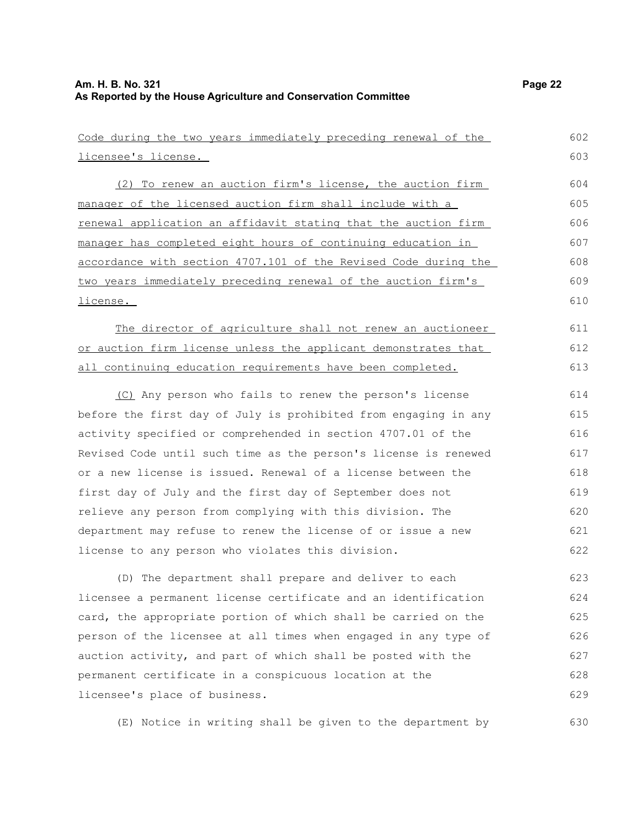| Code during the two years immediately preceding renewal of the  | 602 |
|-----------------------------------------------------------------|-----|
| licensee's license.                                             | 603 |
| (2) To renew an auction firm's license, the auction firm        | 604 |
| manager of the licensed auction firm shall include with a       | 605 |
| renewal application an affidavit stating that the auction firm  | 606 |
| manager has completed eight hours of continuing education in    | 607 |
| accordance with section 4707.101 of the Revised Code during the | 608 |
| two years immediately preceding renewal of the auction firm's   | 609 |
| <u>license.</u>                                                 | 610 |
| The director of agriculture shall not renew an auctioneer       | 611 |
| or auction firm license unless the applicant demonstrates that  | 612 |
| all continuing education requirements have been completed.      | 613 |
| (C) Any person who fails to renew the person's license          | 614 |
| before the first day of July is prohibited from engaging in any | 615 |
| activity specified or comprehended in section 4707.01 of the    | 616 |
| Revised Code until such time as the person's license is renewed | 617 |
| or a new license is issued. Renewal of a license between the    | 618 |
| first day of July and the first day of September does not       | 619 |
| relieve any person from complying with this division. The       | 620 |
| department may refuse to renew the license of or issue a new    | 621 |
| license to any person who violates this division.               | 622 |
| (D) The department shall prepare and deliver to each            | 623 |
| licensee a permanent license certificate and an identification  | 624 |
| card, the appropriate portion of which shall be carried on the  | 625 |
| person of the licensee at all times when engaged in any type of | 626 |
| auction activity, and part of which shall be posted with the    | 627 |
| permanent certificate in a conspicuous location at the          | 628 |
| licensee's place of business.                                   | 629 |

(E) Notice in writing shall be given to the department by 630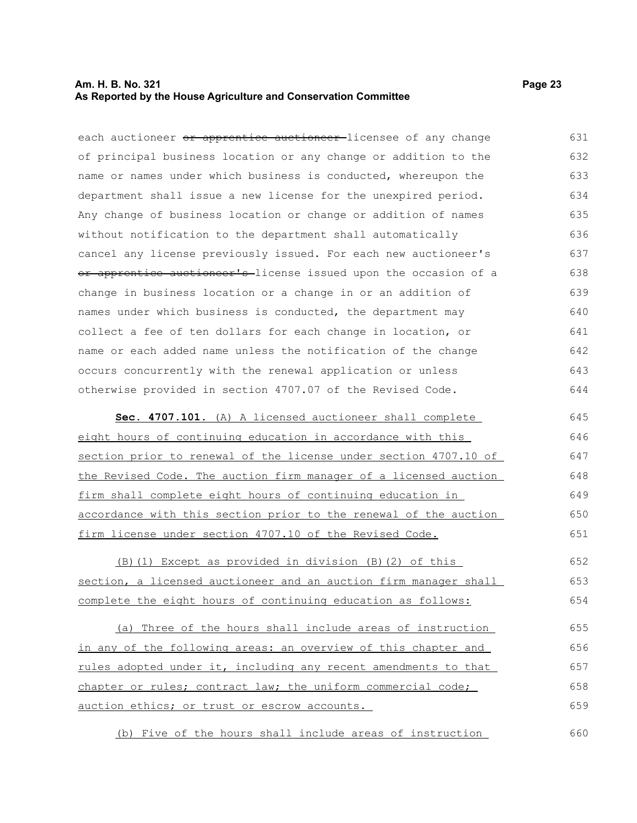#### **Am. H. B. No. 321 Page 23 As Reported by the House Agriculture and Conservation Committee**

each auctioneer or apprentice auctioneer-licensee of any change of principal business location or any change or addition to the name or names under which business is conducted, whereupon the department shall issue a new license for the unexpired period. Any change of business location or change or addition of names without notification to the department shall automatically cancel any license previously issued. For each new auctioneer's or apprentice auctioneer's-license issued upon the occasion of a change in business location or a change in or an addition of names under which business is conducted, the department may collect a fee of ten dollars for each change in location, or name or each added name unless the notification of the change 631 632 633 634 635 636 637 638 639 640 641 642

otherwise provided in section 4707.07 of the Revised Code.

occurs concurrently with the renewal application or unless

 **Sec. 4707.101.** (A) A licensed auctioneer shall complete eight hours of continuing education in accordance with this section prior to renewal of the license under section 4707.10 of the Revised Code. The auction firm manager of a licensed auction firm shall complete eight hours of continuing education in accordance with this section prior to the renewal of the auction firm license under section 4707.10 of the Revised Code. 645 646 647 648 649 650 651

(B)(1) Except as provided in division (B)(2) of this section, a licensed auctioneer and an auction firm manager shall complete the eight hours of continuing education as follows: 652 653 654

(a) Three of the hours shall include areas of instruction in any of the following areas: an overview of this chapter and rules adopted under it, including any recent amendments to that chapter or rules; contract law; the uniform commercial code; auction ethics; or trust or escrow accounts. 655 656 657 658 659

(b) Five of the hours shall include areas of instruction 660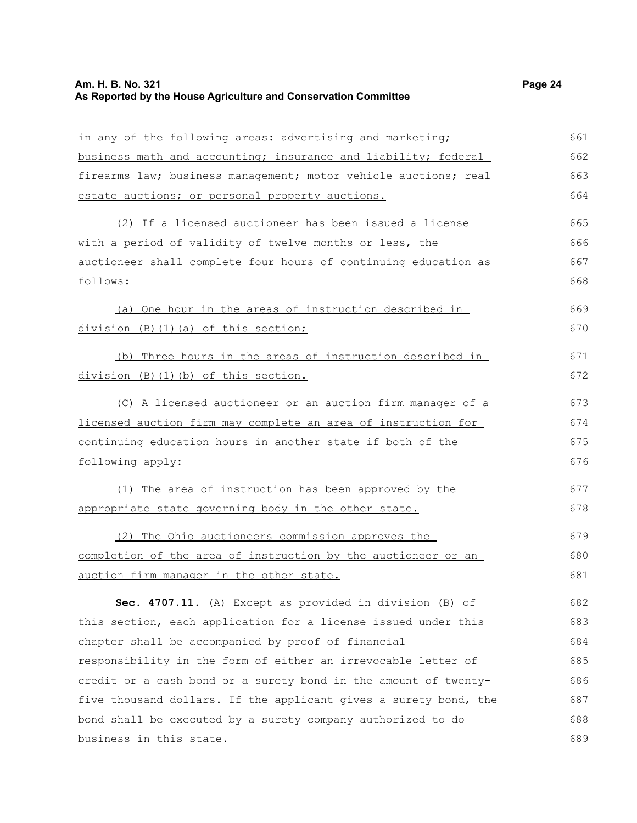# **Am. H. B. No. 321 Page 24 As Reported by the House Agriculture and Conservation Committee**

| in any of the following areas: advertising and marketing;        | 661 |
|------------------------------------------------------------------|-----|
| business math and accounting; insurance and liability; federal   | 662 |
| firearms law; business management; motor vehicle auctions; real  | 663 |
| estate auctions; or personal property auctions.                  | 664 |
| (2) If a licensed auctioneer has been issued a license           | 665 |
| with a period of validity of twelve months or less, the          | 666 |
| auctioneer shall complete four hours of continuing education as  | 667 |
| follows:                                                         | 668 |
| (a) One hour in the areas of instruction described in            | 669 |
| division (B) (1) (a) of this section;                            | 670 |
| Three hours in the areas of instruction described in<br>(b)      | 671 |
| division (B)(1)(b) of this section.                              | 672 |
| (C) A licensed auctioneer or an auction firm manager of a        | 673 |
| licensed auction firm may complete an area of instruction for    | 674 |
| continuing education hours in another state if both of the       | 675 |
| following apply:                                                 | 676 |
| (1) The area of instruction has been approved by the             | 677 |
| appropriate state governing body in the other state.             | 678 |
| (2) The Ohio auctioneers commission approves the                 | 679 |
| completion of the area of instruction by the auctioneer or an    | 680 |
| auction firm manager in the other state.                         | 681 |
| Sec. 4707.11. (A) Except as provided in division (B) of          | 682 |
| this section, each application for a license issued under this   | 683 |
| chapter shall be accompanied by proof of financial               | 684 |
| responsibility in the form of either an irrevocable letter of    | 685 |
| credit or a cash bond or a surety bond in the amount of twenty-  | 686 |
| five thousand dollars. If the applicant gives a surety bond, the | 687 |

bond shall be executed by a surety company authorized to do

business in this state.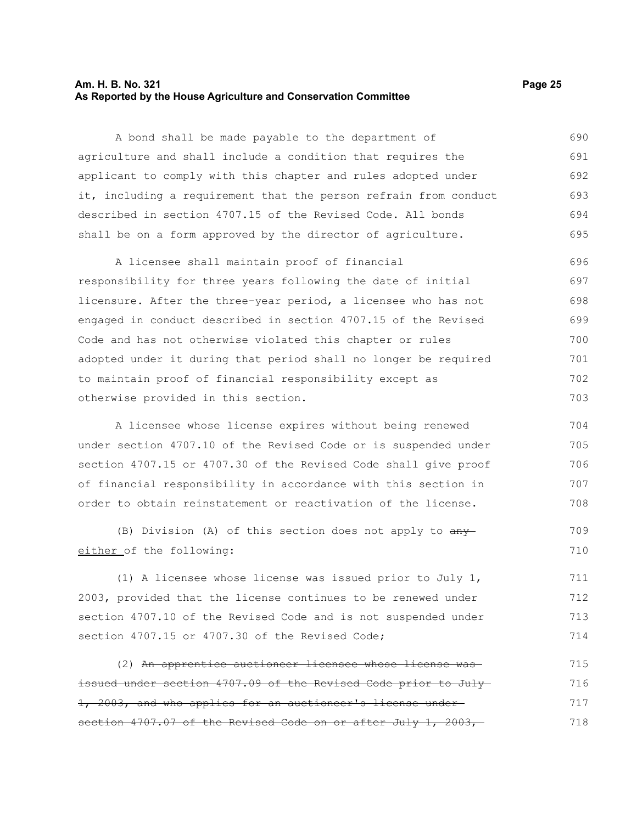#### **Am. H. B. No. 321 Page 25 As Reported by the House Agriculture and Conservation Committee**

A bond shall be made payable to the department of agriculture and shall include a condition that requires the applicant to comply with this chapter and rules adopted under it, including a requirement that the person refrain from conduct described in section 4707.15 of the Revised Code. All bonds shall be on a form approved by the director of agriculture. 690 691 692 693 694 695

A licensee shall maintain proof of financial responsibility for three years following the date of initial licensure. After the three-year period, a licensee who has not engaged in conduct described in section 4707.15 of the Revised Code and has not otherwise violated this chapter or rules adopted under it during that period shall no longer be required to maintain proof of financial responsibility except as otherwise provided in this section. 696 697 698 699 700 701 702 703

A licensee whose license expires without being renewed under section 4707.10 of the Revised Code or is suspended under section 4707.15 or 4707.30 of the Revised Code shall give proof of financial responsibility in accordance with this section in order to obtain reinstatement or reactivation of the license. 704 705 706 707 708

(B) Division (A) of this section does not apply to  $\frac{any}{ }$ either of the following: 709 710

(1) A licensee whose license was issued prior to July 1, 2003, provided that the license continues to be renewed under section 4707.10 of the Revised Code and is not suspended under section 4707.15 or 4707.30 of the Revised Code; 711 712 713 714

(2) An apprentice auctioneer licensee whose license was issued under section 4707.09 of the Revised Code prior to July 1, 2003, and who applies for an auctioneer's license under section 4707.07 of the Revised Code on or after July 1, 2003, 715 716 717 718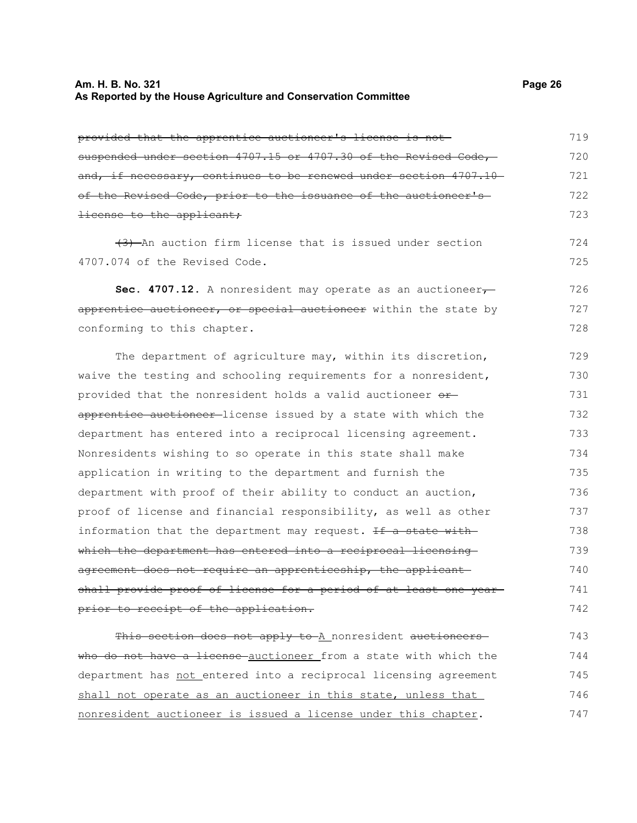#### **Am. H. B. No. 321 Page 26 As Reported by the House Agriculture and Conservation Committee**

provided that the apprentice auctioneer's license is not suspended under section 4707.15 or 4707.30 of the Revised Code, and, if necessary, continues to be renewed under section 4707.10 of the Revised Code, prior to the issuance of the auctioneer's license to the applicant; 719 720 721 722 723

(3) An auction firm license that is issued under section 4707.074 of the Revised Code.

Sec. 4707.12. A nonresident may operate as an auctioneer<sub>7</sub> apprentice auctioneer, or special auctioneer within the state by conforming to this chapter. 726 727 728

The department of agriculture may, within its discretion, waive the testing and schooling requirements for a nonresident, provided that the nonresident holds a valid auctioneer orapprentice auctioneer-license issued by a state with which the department has entered into a reciprocal licensing agreement. Nonresidents wishing to so operate in this state shall make application in writing to the department and furnish the department with proof of their ability to conduct an auction, proof of license and financial responsibility, as well as other information that the department may request. If a state with which the department has entered into a reciprocal licensing agreement does not require an apprenticeship, the applicant shall provide proof of license for a period of at least one year prior to receipt of the application. 729 730 731 732 733 734 735 736 737 738 739 740 741 742

This section does not apply to A nonresident auctioneers who do not have a license auctioneer from a state with which the department has not entered into a reciprocal licensing agreement shall not operate as an auctioneer in this state, unless that nonresident auctioneer is issued a license under this chapter. 743 744 745 746 747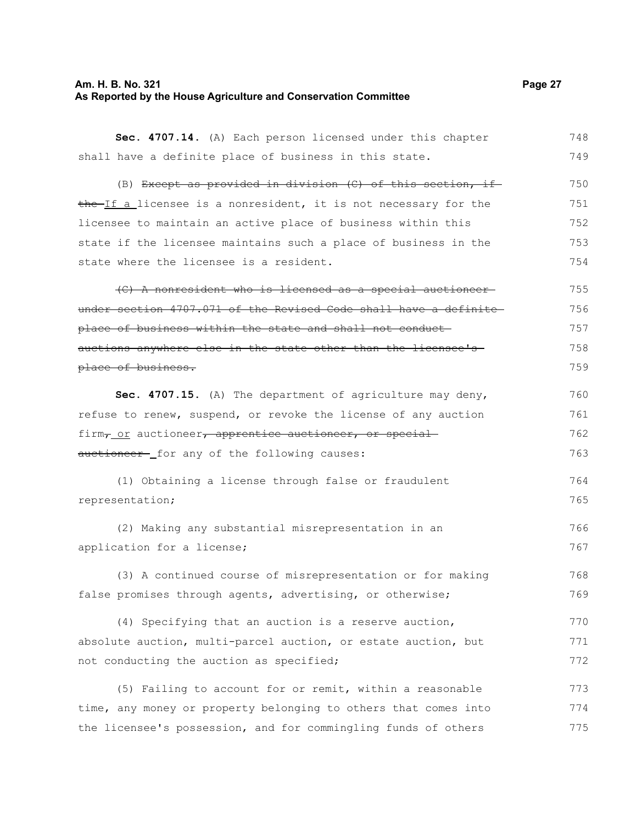# **Am. H. B. No. 321 Page 27 As Reported by the House Agriculture and Conservation Committee**

| Sec. 4707.14. (A) Each person licensed under this chapter          | 748 |
|--------------------------------------------------------------------|-----|
| shall have a definite place of business in this state.             | 749 |
| (B) Except as provided in division (C) of this section, if         | 750 |
| the If a licensee is a nonresident, it is not necessary for the    | 751 |
| licensee to maintain an active place of business within this       | 752 |
| state if the licensee maintains such a place of business in the    | 753 |
| state where the licensee is a resident.                            | 754 |
| (C) A nonresident who is licensed as a special auctioneer-         | 755 |
| under section 4707.071 of the Revised Code shall have a definite   | 756 |
| place of business within the state and shall not conduct-          | 757 |
| auctions anywhere else in the state other than the licensee's-     | 758 |
| place of business.                                                 | 759 |
| Sec. 4707.15. (A) The department of agriculture may deny,          | 760 |
| refuse to renew, suspend, or revoke the license of any auction     | 761 |
| firm <sub>r_Or</sub> auctioneer, apprentice auctioneer, or special | 762 |
| auctioneer-_for any of the following causes:                       | 763 |
| (1) Obtaining a license through false or fraudulent                | 764 |
| representation;                                                    | 765 |
| (2) Making any substantial misrepresentation in an                 | 766 |
| application for a license;                                         | 767 |
| (3) A continued course of misrepresentation or for making          | 768 |
| false promises through agents, advertising, or otherwise;          | 769 |
| (4) Specifying that an auction is a reserve auction,               | 770 |
| absolute auction, multi-parcel auction, or estate auction, but     | 771 |
| not conducting the auction as specified;                           | 772 |
| (5) Failing to account for or remit, within a reasonable           | 773 |
| time, any money or property belonging to others that comes into    | 774 |
| the licensee's possession, and for commingling funds of others     | 775 |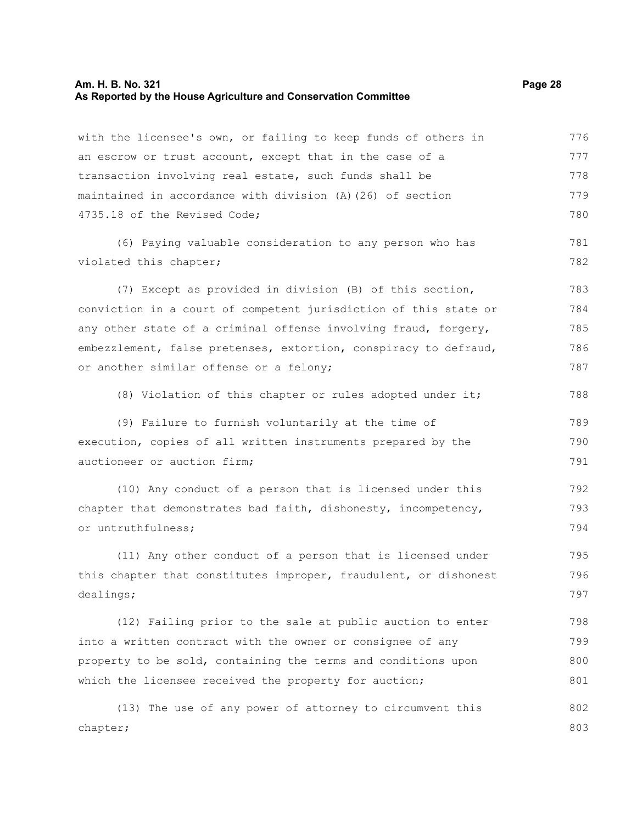# **Am. H. B. No. 321 Page 28 As Reported by the House Agriculture and Conservation Committee**

| with the licensee's own, or failing to keep funds of others in   | 776 |  |  |  |  |
|------------------------------------------------------------------|-----|--|--|--|--|
| an escrow or trust account, except that in the case of a         | 777 |  |  |  |  |
| transaction involving real estate, such funds shall be           | 778 |  |  |  |  |
| maintained in accordance with division (A) (26) of section       | 779 |  |  |  |  |
| 4735.18 of the Revised Code;                                     | 780 |  |  |  |  |
| (6) Paying valuable consideration to any person who has          | 781 |  |  |  |  |
| violated this chapter;                                           | 782 |  |  |  |  |
| (7) Except as provided in division (B) of this section,          | 783 |  |  |  |  |
| conviction in a court of competent jurisdiction of this state or | 784 |  |  |  |  |
| any other state of a criminal offense involving fraud, forgery,  | 785 |  |  |  |  |
| embezzlement, false pretenses, extortion, conspiracy to defraud, | 786 |  |  |  |  |
| or another similar offense or a felony;                          | 787 |  |  |  |  |
| (8) Violation of this chapter or rules adopted under it;         | 788 |  |  |  |  |
| (9) Failure to furnish voluntarily at the time of                | 789 |  |  |  |  |
| execution, copies of all written instruments prepared by the     | 790 |  |  |  |  |
| auctioneer or auction firm;                                      | 791 |  |  |  |  |
| (10) Any conduct of a person that is licensed under this         | 792 |  |  |  |  |
| chapter that demonstrates bad faith, dishonesty, incompetency,   |     |  |  |  |  |
| or untruthfulness;                                               | 794 |  |  |  |  |
| (11) Any other conduct of a person that is licensed under        | 795 |  |  |  |  |
| this chapter that constitutes improper, fraudulent, or dishonest | 796 |  |  |  |  |
| dealings;                                                        | 797 |  |  |  |  |
| (12) Failing prior to the sale at public auction to enter        | 798 |  |  |  |  |
| into a written contract with the owner or consignee of any       | 799 |  |  |  |  |
| property to be sold, containing the terms and conditions upon    | 800 |  |  |  |  |
| which the licensee received the property for auction;            | 801 |  |  |  |  |
| (13) The use of any power of attorney to circumvent this         | 802 |  |  |  |  |
| chapter;                                                         | 803 |  |  |  |  |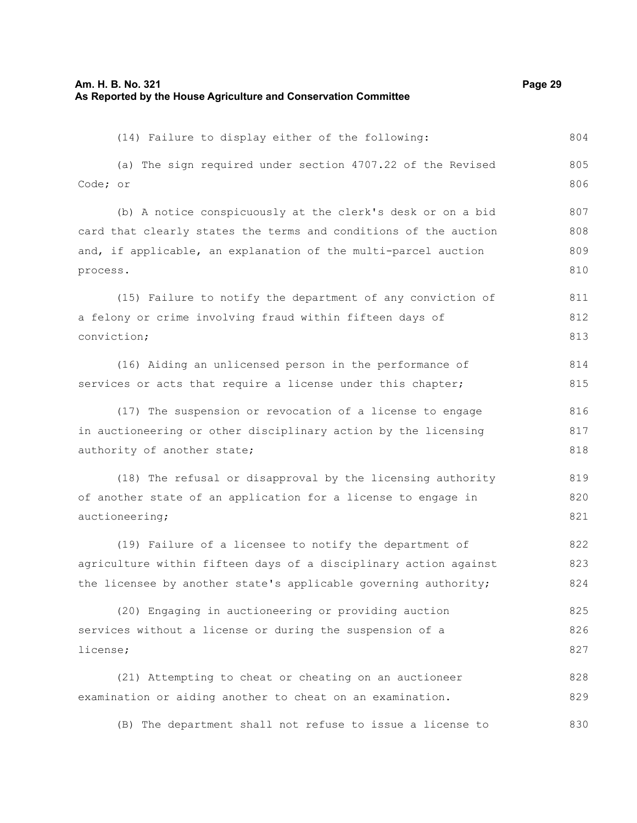| (14) Failure to display either of the following:                       | 804        |  |  |  |  |
|------------------------------------------------------------------------|------------|--|--|--|--|
| (a) The sign required under section 4707.22 of the Revised<br>Code; or | 805<br>806 |  |  |  |  |
| (b) A notice conspicuously at the clerk's desk or on a bid             | 807        |  |  |  |  |
| card that clearly states the terms and conditions of the auction       | 808        |  |  |  |  |
| and, if applicable, an explanation of the multi-parcel auction         | 809        |  |  |  |  |
| process.                                                               | 810        |  |  |  |  |
| (15) Failure to notify the department of any conviction of             | 811        |  |  |  |  |
| a felony or crime involving fraud within fifteen days of               | 812        |  |  |  |  |
| conviction;                                                            | 813        |  |  |  |  |
| (16) Aiding an unlicensed person in the performance of                 | 814        |  |  |  |  |
| services or acts that require a license under this chapter;            | 815        |  |  |  |  |
| (17) The suspension or revocation of a license to engage               | 816        |  |  |  |  |
| in auctioneering or other disciplinary action by the licensing         |            |  |  |  |  |
| authority of another state;                                            | 818        |  |  |  |  |
| (18) The refusal or disapproval by the licensing authority             | 819        |  |  |  |  |
| of another state of an application for a license to engage in          | 820        |  |  |  |  |
| auctioneering;                                                         | 821        |  |  |  |  |
| (19) Failure of a licensee to notify the department of                 | 822        |  |  |  |  |
| agriculture within fifteen days of a disciplinary action against       | 823        |  |  |  |  |
| the licensee by another state's applicable governing authority;        | 824        |  |  |  |  |
| (20) Engaging in auctioneering or providing auction                    | 825        |  |  |  |  |
| services without a license or during the suspension of a               | 826        |  |  |  |  |
| license;                                                               | 827        |  |  |  |  |
| (21) Attempting to cheat or cheating on an auctioneer                  | 828        |  |  |  |  |
| examination or aiding another to cheat on an examination.              | 829        |  |  |  |  |

(B) The department shall not refuse to issue a license to 830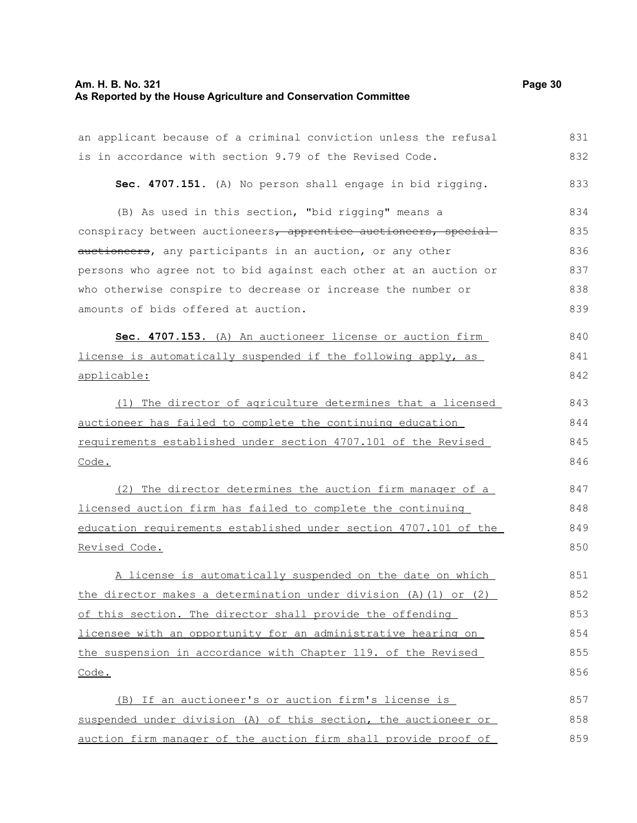# **Am. H. B. No. 321 Page 30 As Reported by the House Agriculture and Conservation Committee**

| an applicant because of a criminal conviction unless the refusal | 831 |
|------------------------------------------------------------------|-----|
| is in accordance with section 9.79 of the Revised Code.          | 832 |
| Sec. 4707.151. (A) No person shall engage in bid rigging.        | 833 |
| (B) As used in this section, "bid rigging" means a               | 834 |
| conspiracy between auctioneers, apprentice auctioneers, special  | 835 |
| auctioneers, any participants in an auction, or any other        | 836 |
| persons who agree not to bid against each other at an auction or | 837 |
| who otherwise conspire to decrease or increase the number or     | 838 |
| amounts of bids offered at auction.                              | 839 |
| Sec. 4707.153. (A) An auctioneer license or auction firm         | 840 |
| license is automatically suspended if the following apply, as    | 841 |
| applicable:                                                      | 842 |
| The director of agriculture determines that a licensed<br>(1)    | 843 |
| auctioneer has failed to complete the continuing education       | 844 |
| requirements established under section 4707.101 of the Revised   | 845 |
| Code.                                                            | 846 |
| (2) The director determines the auction firm manager of a        | 847 |
| licensed auction firm has failed to complete the continuing      | 848 |
| education requirements established under section 4707.101 of the | 849 |
| Revised Code.                                                    | 850 |
| A license is automatically suspended on the date on which        | 851 |
| the director makes a determination under division (A) (1) or (2) | 852 |
| of this section. The director shall provide the offending        | 853 |
| licensee with an opportunity for an administrative hearing on    | 854 |
| the suspension in accordance with Chapter 119. of the Revised    | 855 |
| <u>Code.</u>                                                     | 856 |
| (B) If an auctioneer's or auction firm's license is              | 857 |
| suspended under division (A) of this section, the auctioneer or  | 858 |
| auction firm manager of the auction firm shall provide proof of  | 859 |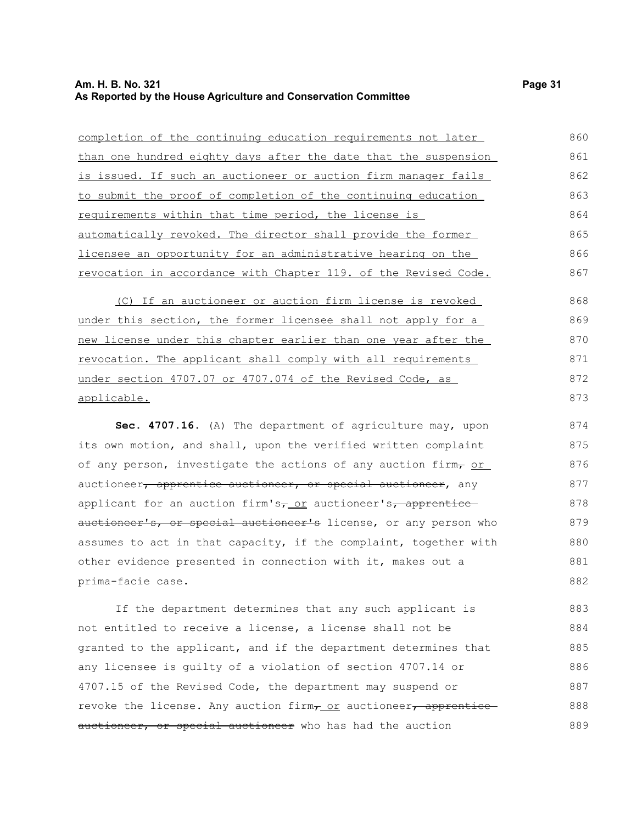#### **Am. H. B. No. 321 Page 31 As Reported by the House Agriculture and Conservation Committee**

| completion of the continuing education requirements not later   | 860 |  |  |  |  |
|-----------------------------------------------------------------|-----|--|--|--|--|
| than one hundred eighty days after the date that the suspension | 861 |  |  |  |  |
| is issued. If such an auctioneer or auction firm manager fails  | 862 |  |  |  |  |
| to submit the proof of completion of the continuing education   | 863 |  |  |  |  |
| requirements within that time period, the license is            | 864 |  |  |  |  |
| automatically revoked. The director shall provide the former    | 865 |  |  |  |  |
| licensee an opportunity for an administrative hearing on the    |     |  |  |  |  |
| revocation in accordance with Chapter 119. of the Revised Code. | 867 |  |  |  |  |

(C) If an auctioneer or auction firm license is revoked under this section, the former licensee shall not apply for a new license under this chapter earlier than one year after the revocation. The applicant shall comply with all requirements under section 4707.07 or 4707.074 of the Revised Code, as applicable.

**Sec. 4707.16.** (A) The department of agriculture may, upon its own motion, and shall, upon the verified written complaint of any person, investigate the actions of any auction firm,  $or$ auctioneer, apprentice auctioneer, or special auctioneer, any applicant for an auction firm's $\tau$  or auctioneer's, apprentice auctioneer's, or special auctioneer's license, or any person who assumes to act in that capacity, if the complaint, together with other evidence presented in connection with it, makes out a prima-facie case. 874 875 876 877 878 879 880 881 882

If the department determines that any such applicant is not entitled to receive a license, a license shall not be granted to the applicant, and if the department determines that any licensee is guilty of a violation of section 4707.14 or 4707.15 of the Revised Code, the department may suspend or revoke the license. Any auction firm, or auctioneer, apprentice auctioneer, or special auctioneer who has had the auction 883 884 885 886 887 888 889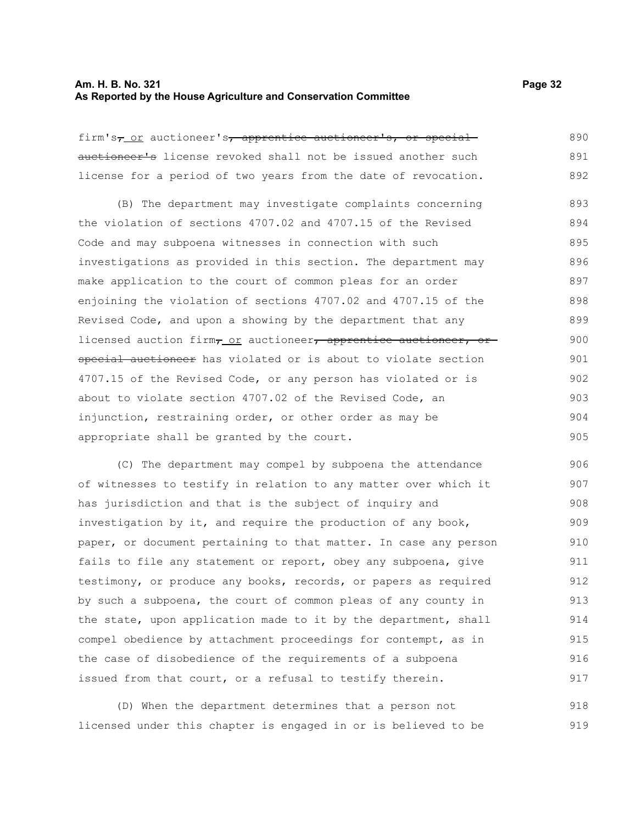#### **Am. H. B. No. 321 Page 32 As Reported by the House Agriculture and Conservation Committee**

firm's<sub>7</sub> or auctioneer's, apprentice auctioneer's, or special auctioneer's license revoked shall not be issued another such license for a period of two years from the date of revocation. 890 891 892

(B) The department may investigate complaints concerning the violation of sections 4707.02 and 4707.15 of the Revised Code and may subpoena witnesses in connection with such investigations as provided in this section. The department may make application to the court of common pleas for an order enjoining the violation of sections 4707.02 and 4707.15 of the Revised Code, and upon a showing by the department that any licensed auction firm, or auctioneer, apprentice auctioneer, or special auctioneer has violated or is about to violate section 4707.15 of the Revised Code, or any person has violated or is about to violate section 4707.02 of the Revised Code, an injunction, restraining order, or other order as may be appropriate shall be granted by the court. 893 894 895 896 897 898 899 900 901 902 903 904 905

(C) The department may compel by subpoena the attendance of witnesses to testify in relation to any matter over which it has jurisdiction and that is the subject of inquiry and investigation by it, and require the production of any book, paper, or document pertaining to that matter. In case any person fails to file any statement or report, obey any subpoena, give testimony, or produce any books, records, or papers as required by such a subpoena, the court of common pleas of any county in the state, upon application made to it by the department, shall compel obedience by attachment proceedings for contempt, as in the case of disobedience of the requirements of a subpoena issued from that court, or a refusal to testify therein. 906 907 908 909 910 911 912 913 914 915 916 917

(D) When the department determines that a person not licensed under this chapter is engaged in or is believed to be 918 919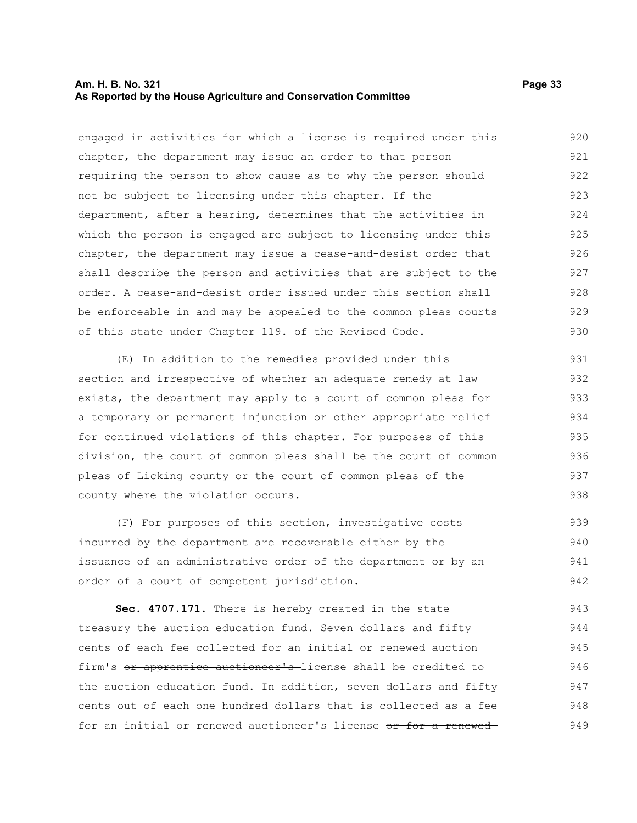#### **Am. H. B. No. 321 Page 33 As Reported by the House Agriculture and Conservation Committee**

engaged in activities for which a license is required under this chapter, the department may issue an order to that person requiring the person to show cause as to why the person should not be subject to licensing under this chapter. If the department, after a hearing, determines that the activities in which the person is engaged are subject to licensing under this chapter, the department may issue a cease-and-desist order that shall describe the person and activities that are subject to the order. A cease-and-desist order issued under this section shall be enforceable in and may be appealed to the common pleas courts of this state under Chapter 119. of the Revised Code. 920 921 922 923 924 925 926 927 928 929 930

(E) In addition to the remedies provided under this section and irrespective of whether an adequate remedy at law exists, the department may apply to a court of common pleas for a temporary or permanent injunction or other appropriate relief for continued violations of this chapter. For purposes of this division, the court of common pleas shall be the court of common pleas of Licking county or the court of common pleas of the county where the violation occurs. 931 932 933 934 935 936 937 938

(F) For purposes of this section, investigative costs incurred by the department are recoverable either by the issuance of an administrative order of the department or by an order of a court of competent jurisdiction. 939 940 941 942

**Sec. 4707.171.** There is hereby created in the state treasury the auction education fund. Seven dollars and fifty cents of each fee collected for an initial or renewed auction firm's or apprentice auctioneer's license shall be credited to the auction education fund. In addition, seven dollars and fifty cents out of each one hundred dollars that is collected as a fee for an initial or renewed auctioneer's license or for a renewed-943 944 945 946 947 948 949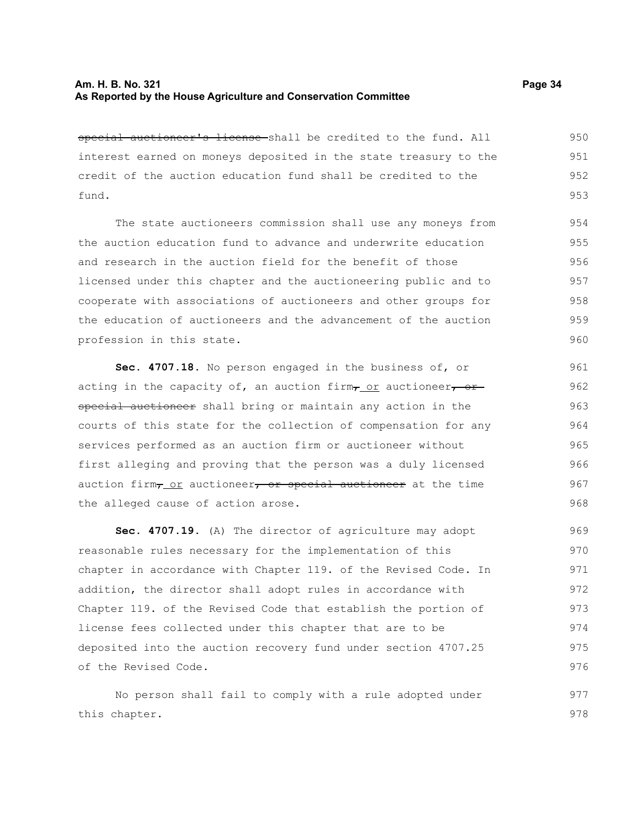special auctioneer's license shall be credited to the fund. All interest earned on moneys deposited in the state treasury to the credit of the auction education fund shall be credited to the fund. 950 951 952 953

The state auctioneers commission shall use any moneys from the auction education fund to advance and underwrite education and research in the auction field for the benefit of those licensed under this chapter and the auctioneering public and to cooperate with associations of auctioneers and other groups for the education of auctioneers and the advancement of the auction profession in this state.

**Sec. 4707.18.** No person engaged in the business of, or acting in the capacity of, an auction firm $\tau$  or auctioneer, or special auctioneer shall bring or maintain any action in the courts of this state for the collection of compensation for any services performed as an auction firm or auctioneer without first alleging and proving that the person was a duly licensed auction firm $_7$  or auctioneer, or special auctioneer at the time the alleged cause of action arose.

**Sec. 4707.19.** (A) The director of agriculture may adopt reasonable rules necessary for the implementation of this chapter in accordance with Chapter 119. of the Revised Code. In addition, the director shall adopt rules in accordance with Chapter 119. of the Revised Code that establish the portion of license fees collected under this chapter that are to be deposited into the auction recovery fund under section 4707.25 of the Revised Code. 969 970 971 972 973 974 975 976

No person shall fail to comply with a rule adopted under this chapter. 977 978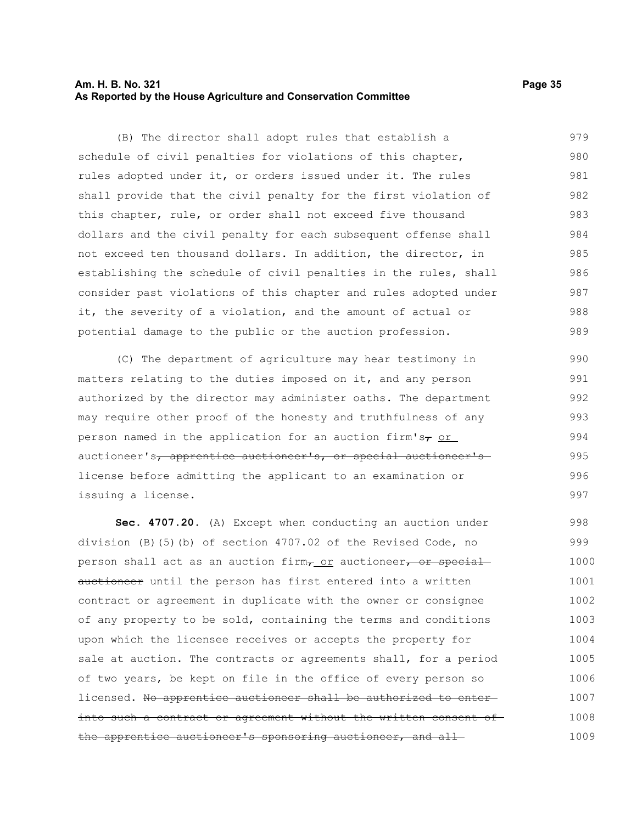#### **Am. H. B. No. 321 Page 35 As Reported by the House Agriculture and Conservation Committee**

(B) The director shall adopt rules that establish a schedule of civil penalties for violations of this chapter, rules adopted under it, or orders issued under it. The rules shall provide that the civil penalty for the first violation of this chapter, rule, or order shall not exceed five thousand dollars and the civil penalty for each subsequent offense shall not exceed ten thousand dollars. In addition, the director, in establishing the schedule of civil penalties in the rules, shall consider past violations of this chapter and rules adopted under it, the severity of a violation, and the amount of actual or potential damage to the public or the auction profession. 979 980 981 982 983 984 985 986 987 988 989

(C) The department of agriculture may hear testimony in matters relating to the duties imposed on it, and any person authorized by the director may administer oaths. The department may require other proof of the honesty and truthfulness of any person named in the application for an auction firm's $\tau$  or auctioneer's, apprentice auctioneer's, or special auctioneer's license before admitting the applicant to an examination or issuing a license.

**Sec. 4707.20.** (A) Except when conducting an auction under division (B)(5)(b) of section 4707.02 of the Revised Code, no person shall act as an auction firm, or auctioneer, or specialauctioneer until the person has first entered into a written contract or agreement in duplicate with the owner or consignee of any property to be sold, containing the terms and conditions upon which the licensee receives or accepts the property for sale at auction. The contracts or agreements shall, for a period of two years, be kept on file in the office of every person so licensed. No apprentice auctioneer shall be authorized to enterinto such a contract or agreement without the written consent of the apprentice auctioneer's sponsoring auctioneer, and all 998 999 1000 1001 1002 1003 1004 1005 1006 1007 1008 1009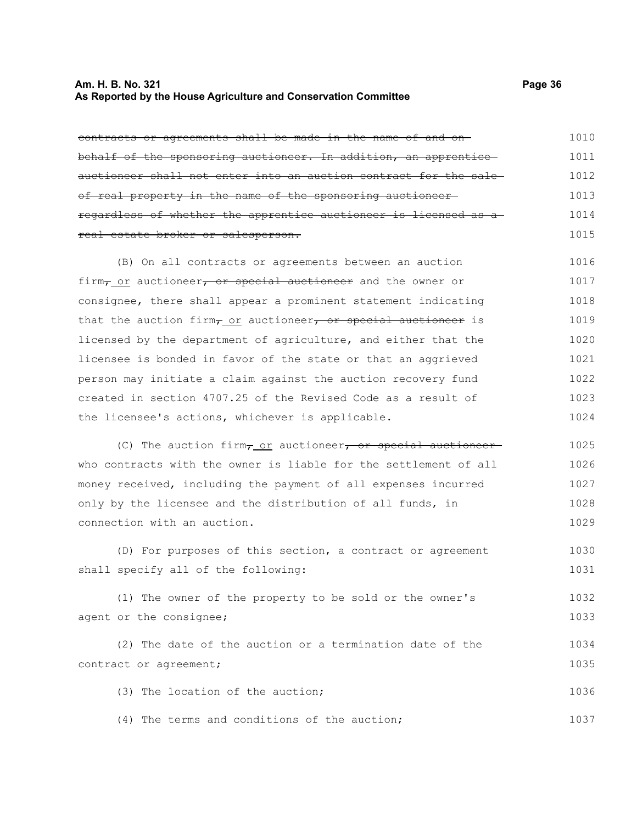#### **Am. H. B. No. 321 Page 36 As Reported by the House Agriculture and Conservation Committee**

contracts or agreements shall be made in the name of and on behalf of the sponsoring auctioneer. In addition, an apprentice auctioneer shall not enter into an auction contract for the sale of real property in the name of the sponsoring auctioneer regardless of whether the apprentice auctioneer is licensed as a real estate broker or salesperson. (B) On all contracts or agreements between an auction firm, or auctioneer, or special auctioneer and the owner or consignee, there shall appear a prominent statement indicating

that the auction firm $_{T_{-}$  or auctioneer, or special auctioneer is licensed by the department of agriculture, and either that the licensee is bonded in favor of the state or that an aggrieved person may initiate a claim against the auction recovery fund created in section 4707.25 of the Revised Code as a result of the licensee's actions, whichever is applicable. 1019 1020 1021 1022 1023 1024

(C) The auction firm $\tau$  or auctioneer, or special auctioneerwho contracts with the owner is liable for the settlement of all money received, including the payment of all expenses incurred only by the licensee and the distribution of all funds, in connection with an auction. 1025 1026 1027 1028 1029

(D) For purposes of this section, a contract or agreement shall specify all of the following: 1030 1031

(1) The owner of the property to be sold or the owner's agent or the consignee; 1032 1033

(2) The date of the auction or a termination date of the contract or agreement; 1034 1035

(3) The location of the auction; 1036

(4) The terms and conditions of the auction;

1016 1017 1018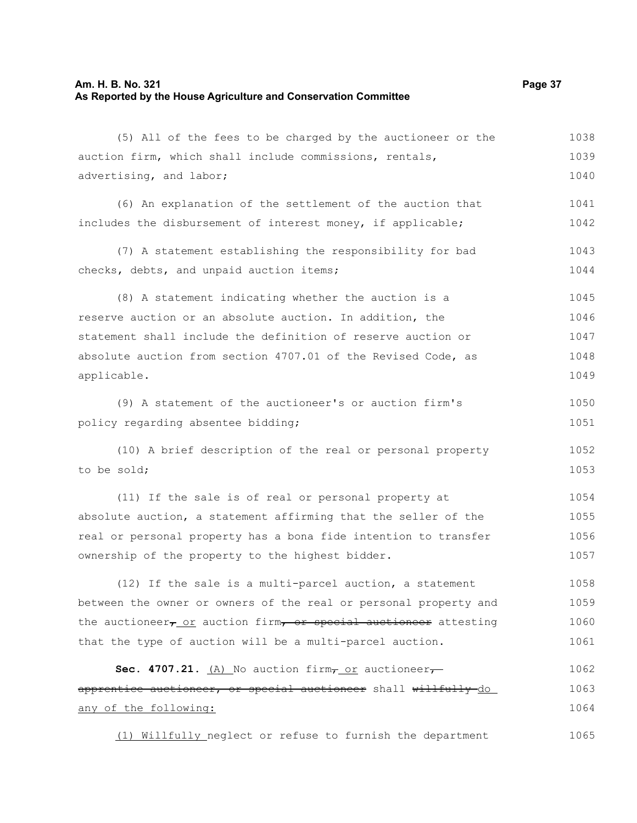# **Am. H. B. No. 321 Page 37 As Reported by the House Agriculture and Conservation Committee**

| (5) All of the fees to be charged by the auctioneer or the                   | 1038 |
|------------------------------------------------------------------------------|------|
| auction firm, which shall include commissions, rentals,                      | 1039 |
| advertising, and labor;                                                      | 1040 |
| (6) An explanation of the settlement of the auction that                     | 1041 |
| includes the disbursement of interest money, if applicable;                  | 1042 |
| (7) A statement establishing the responsibility for bad                      | 1043 |
| checks, debts, and unpaid auction items;                                     | 1044 |
| (8) A statement indicating whether the auction is a                          | 1045 |
| reserve auction or an absolute auction. In addition, the                     | 1046 |
| statement shall include the definition of reserve auction or                 | 1047 |
| absolute auction from section 4707.01 of the Revised Code, as                | 1048 |
| applicable.                                                                  | 1049 |
| (9) A statement of the auctioneer's or auction firm's                        | 1050 |
| policy regarding absentee bidding;                                           | 1051 |
| (10) A brief description of the real or personal property                    | 1052 |
| to be sold;                                                                  | 1053 |
| (11) If the sale is of real or personal property at                          | 1054 |
| absolute auction, a statement affirming that the seller of the               | 1055 |
| real or personal property has a bona fide intention to transfer              | 1056 |
| ownership of the property to the highest bidder.                             | 1057 |
| (12) If the sale is a multi-parcel auction, a statement                      | 1058 |
| between the owner or owners of the real or personal property and             | 1059 |
| the auctioneer <sub>7_OI</sub> auction firm, or special auctioneer attesting | 1060 |
| that the type of auction will be a multi-parcel auction.                     | 1061 |
| Sec. 4707.21. $(A)$ No auction firm $\tau$ or auctioneer $\tau$              | 1062 |
| apprentice auctioneer, or special auctioneer shall willfully-do              | 1063 |
| any of the following:                                                        | 1064 |
| (1) Willfully_neglect or refuse to furnish the department                    | 1065 |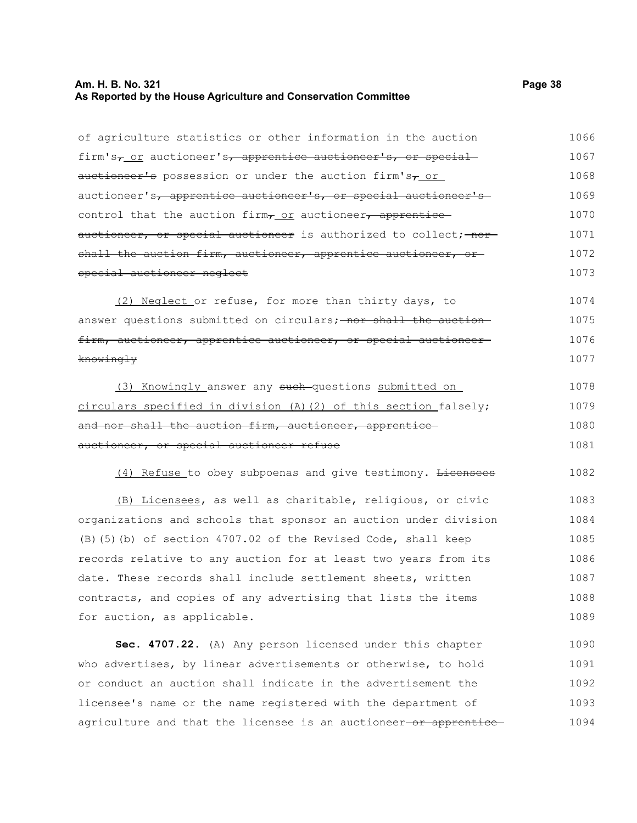#### **Am. H. B. No. 321 Page 38 As Reported by the House Agriculture and Conservation Committee**

knowingly

of agriculture statistics or other information in the auction firm's, or auctioneer's, apprentice auctioneer's, or special  $a$ uctioneer's possession or under the auction firm's $\tau$  or auctioneer's, apprentice auctioneer's, or special auctioneer's control that the auction firm $_{T\_OT}$  auctioneer, apprentice auctioneer, or special auctioneer is authorized to collect; nor shall the auction firm, auctioneer, apprentice auctioneer, or special auctioneer neglect (2) Neglect or refuse, for more than thirty days, to answer questions submitted on circulars; nor shall the auction firm, auctioneer, apprentice auctioneer, or special auctioneer 1066 1067 1068 1069 1070 1071 1072 1073 1074 1075 1076

(3) Knowingly answer any such questions submitted on circulars specified in division (A)(2) of this section falsely; and nor shall the auction firm, auctioneer, apprentice auctioneer, or special auctioneer refuse 1078 1079 1080 1081

(4) Refuse to obey subpoenas and give testimony. <del>Licensees</del> 1082

(B) Licensees, as well as charitable, religious, or civic organizations and schools that sponsor an auction under division (B)(5)(b) of section 4707.02 of the Revised Code, shall keep records relative to any auction for at least two years from its date. These records shall include settlement sheets, written contracts, and copies of any advertising that lists the items for auction, as applicable. 1083 1084 1085 1086 1087 1088 1089

**Sec. 4707.22.** (A) Any person licensed under this chapter who advertises, by linear advertisements or otherwise, to hold or conduct an auction shall indicate in the advertisement the licensee's name or the name registered with the department of agriculture and that the licensee is an auctioneer-or apprentice-1090 1091 1092 1093 1094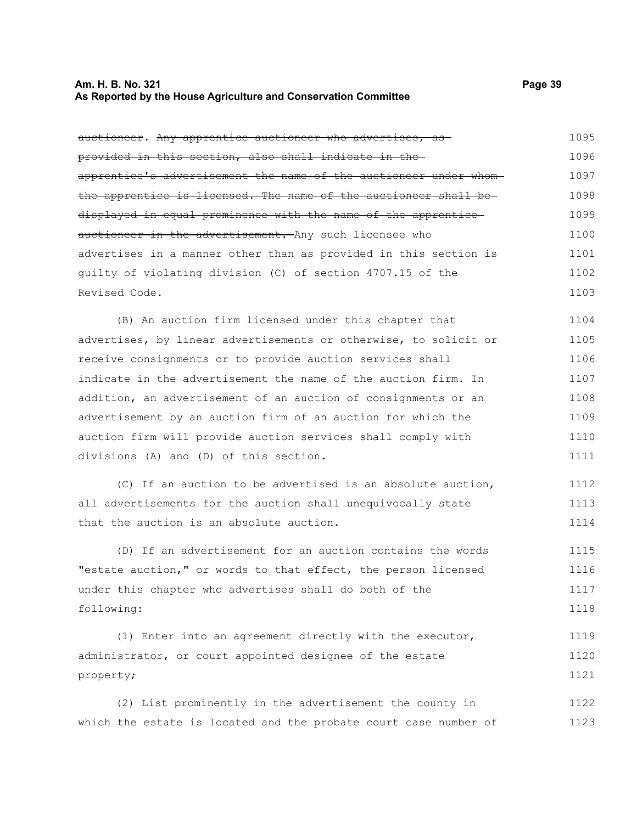#### **Am. H. B. No. 321 Page 39 As Reported by the House Agriculture and Conservation Committee**

auctioneer. Any apprentice auctioneer who advertises, as provided in this section, also shall indicate in the apprentice's advertisement the name of the auctioneer under whom the apprentice is licensed. The name of the auctioneer shall be

displayed in equal prominence with the name of the apprentice auctioneer in the advertisement. Any such licensee who advertises in a manner other than as provided in this section is guilty of violating division (C) of section 4707.15 of the Revised Code. 1099 1100 1101 1102 1103

(B) An auction firm licensed under this chapter that advertises, by linear advertisements or otherwise, to solicit or receive consignments or to provide auction services shall indicate in the advertisement the name of the auction firm. In addition, an advertisement of an auction of consignments or an advertisement by an auction firm of an auction for which the auction firm will provide auction services shall comply with divisions (A) and (D) of this section. 1104 1105 1106 1107 1108 1109 1110 1111

(C) If an auction to be advertised is an absolute auction, all advertisements for the auction shall unequivocally state that the auction is an absolute auction. 1112 1113 1114

(D) If an advertisement for an auction contains the words "estate auction," or words to that effect, the person licensed under this chapter who advertises shall do both of the following: 1115 1116 1117 1118

(1) Enter into an agreement directly with the executor, administrator, or court appointed designee of the estate property; 1119 1120 1121

(2) List prominently in the advertisement the county in which the estate is located and the probate court case number of 1122 1123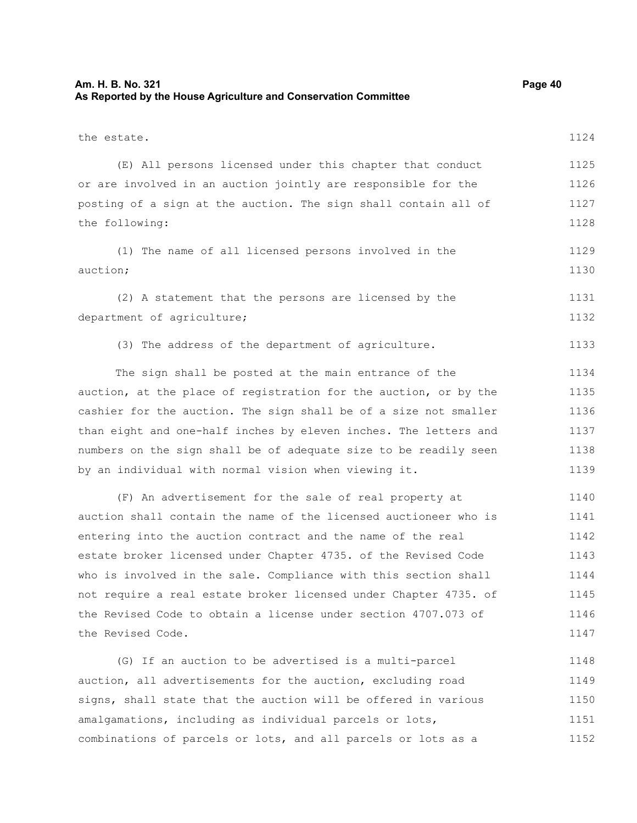#### **Am. H. B. No. 321 Page 40 As Reported by the House Agriculture and Conservation Committee**

the estate. (E) All persons licensed under this chapter that conduct or are involved in an auction jointly are responsible for the posting of a sign at the auction. The sign shall contain all of the following: (1) The name of all licensed persons involved in the auction; (2) A statement that the persons are licensed by the department of agriculture; (3) The address of the department of agriculture. The sign shall be posted at the main entrance of the auction, at the place of registration for the auction, or by the cashier for the auction. The sign shall be of a size not smaller than eight and one-half inches by eleven inches. The letters and numbers on the sign shall be of adequate size to be readily seen by an individual with normal vision when viewing it. (F) An advertisement for the sale of real property at auction shall contain the name of the licensed auctioneer who is entering into the auction contract and the name of the real estate broker licensed under Chapter 4735. of the Revised Code who is involved in the sale. Compliance with this section shall not require a real estate broker licensed under Chapter 4735. of the Revised Code to obtain a license under section 4707.073 of the Revised Code. (G) If an auction to be advertised is a multi-parcel auction, all advertisements for the auction, excluding road signs, shall state that the auction will be offered in various amalgamations, including as individual parcels or lots, combinations of parcels or lots, and all parcels or lots as a 1124 1125 1126 1127 1128 1129 1130 1131 1132 1133 1134 1135 1136 1137 1138 1139 1140 1141 1142 1143 1144 1145 1146 1147 1148 1149 1150 1151 1152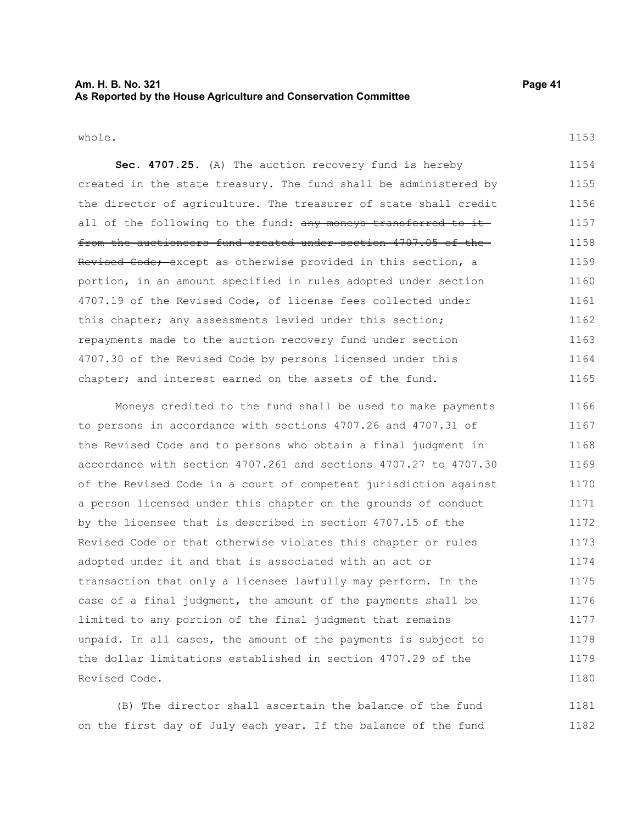#### **Am. H. B. No. 321 Page 41 As Reported by the House Agriculture and Conservation Committee**

whole.

**Sec. 4707.25.** (A) The auction recovery fund is hereby created in the state treasury. The fund shall be administered by the director of agriculture. The treasurer of state shall credit all of the following to the fund: any moneys transferred to itfrom the auctioneers fund created under section 4707.05 of the Revised Code; except as otherwise provided in this section, a portion, in an amount specified in rules adopted under section 4707.19 of the Revised Code, of license fees collected under this chapter; any assessments levied under this section; repayments made to the auction recovery fund under section 4707.30 of the Revised Code by persons licensed under this chapter; and interest earned on the assets of the fund. 1154 1155 1156 1157 1158 1159 1160 1161 1162 1163 1164 1165

Moneys credited to the fund shall be used to make payments to persons in accordance with sections 4707.26 and 4707.31 of the Revised Code and to persons who obtain a final judgment in accordance with section 4707.261 and sections 4707.27 to 4707.30 of the Revised Code in a court of competent jurisdiction against a person licensed under this chapter on the grounds of conduct by the licensee that is described in section 4707.15 of the Revised Code or that otherwise violates this chapter or rules adopted under it and that is associated with an act or transaction that only a licensee lawfully may perform. In the case of a final judgment, the amount of the payments shall be limited to any portion of the final judgment that remains unpaid. In all cases, the amount of the payments is subject to the dollar limitations established in section 4707.29 of the Revised Code. 1166 1167 1168 1169 1170 1171 1172 1173 1174 1175 1176 1177 1178 1179 1180

(B) The director shall ascertain the balance of the fund on the first day of July each year. If the balance of the fund 1181 1182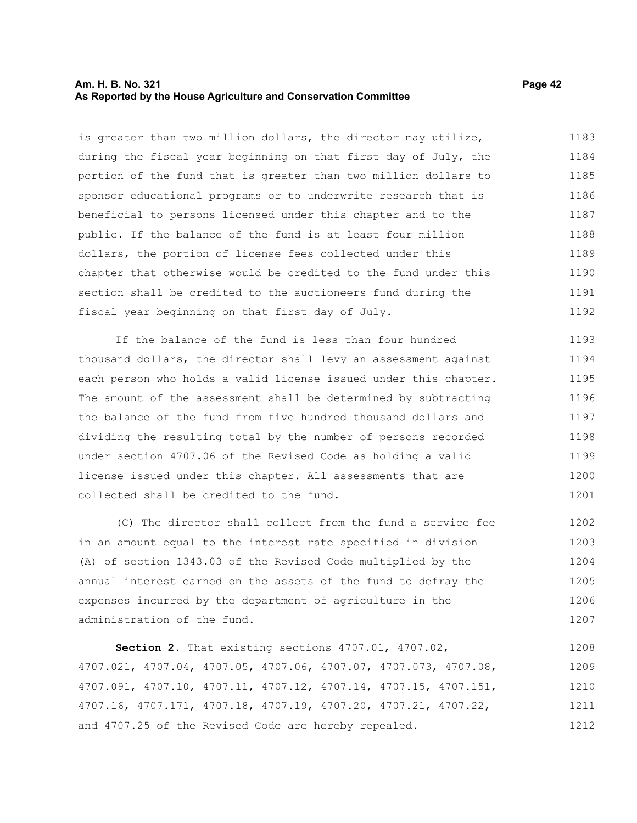#### **Am. H. B. No. 321 Page 42 As Reported by the House Agriculture and Conservation Committee**

is greater than two million dollars, the director may utilize, during the fiscal year beginning on that first day of July, the portion of the fund that is greater than two million dollars to sponsor educational programs or to underwrite research that is beneficial to persons licensed under this chapter and to the public. If the balance of the fund is at least four million dollars, the portion of license fees collected under this chapter that otherwise would be credited to the fund under this section shall be credited to the auctioneers fund during the fiscal year beginning on that first day of July. 1183 1184 1185 1186 1187 1188 1189 1190 1191 1192

If the balance of the fund is less than four hundred thousand dollars, the director shall levy an assessment against each person who holds a valid license issued under this chapter. The amount of the assessment shall be determined by subtracting the balance of the fund from five hundred thousand dollars and dividing the resulting total by the number of persons recorded under section 4707.06 of the Revised Code as holding a valid license issued under this chapter. All assessments that are collected shall be credited to the fund. 1193 1194 1195 1196 1197 1198 1199 1200 1201

(C) The director shall collect from the fund a service fee in an amount equal to the interest rate specified in division (A) of section 1343.03 of the Revised Code multiplied by the annual interest earned on the assets of the fund to defray the expenses incurred by the department of agriculture in the administration of the fund. 1202 1203 1204 1205 1206 1207

**Section 2.** That existing sections 4707.01, 4707.02, 4707.021, 4707.04, 4707.05, 4707.06, 4707.07, 4707.073, 4707.08, 4707.091, 4707.10, 4707.11, 4707.12, 4707.14, 4707.15, 4707.151, 4707.16, 4707.171, 4707.18, 4707.19, 4707.20, 4707.21, 4707.22, and 4707.25 of the Revised Code are hereby repealed. 1208 1209 1210 1211 1212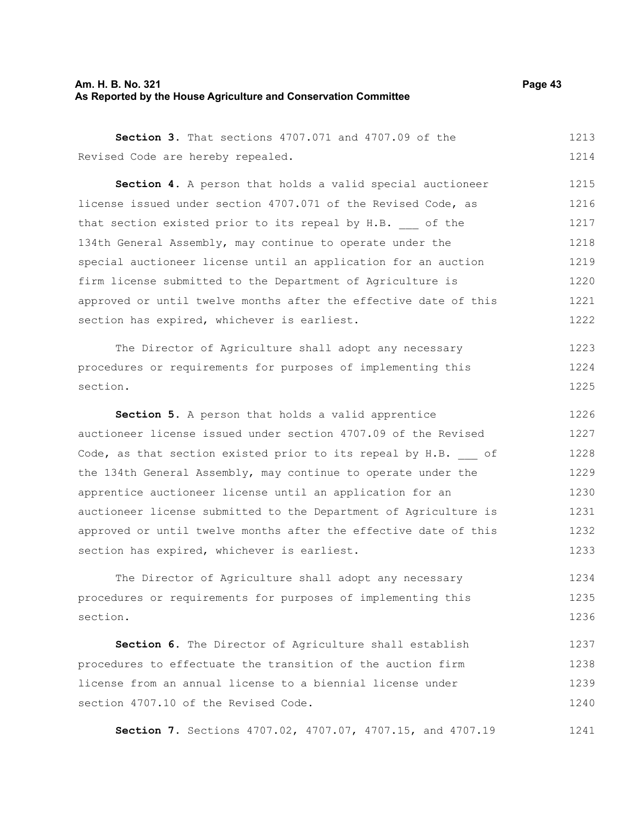#### **Am. H. B. No. 321 Page 43 As Reported by the House Agriculture and Conservation Committee**

|                                   |  | <b>Section 3.</b> That sections 4707.071 and 4707.09 of the |  |  | 1213 |
|-----------------------------------|--|-------------------------------------------------------------|--|--|------|
| Revised Code are hereby repealed. |  |                                                             |  |  | 1214 |

**Section 4.** A person that holds a valid special auctioneer license issued under section 4707.071 of the Revised Code, as that section existed prior to its repeal by H.B. of the 134th General Assembly, may continue to operate under the special auctioneer license until an application for an auction firm license submitted to the Department of Agriculture is approved or until twelve months after the effective date of this section has expired, whichever is earliest. 1215 1216 1217 1218 1219 1220 1221 1222

The Director of Agriculture shall adopt any necessary procedures or requirements for purposes of implementing this section. 1223 1224 1225

**Section 5.** A person that holds a valid apprentice auctioneer license issued under section 4707.09 of the Revised Code, as that section existed prior to its repeal by H.B. of the 134th General Assembly, may continue to operate under the apprentice auctioneer license until an application for an auctioneer license submitted to the Department of Agriculture is approved or until twelve months after the effective date of this section has expired, whichever is earliest. 1226 1227 1228 1229 1230 1231 1232 1233

The Director of Agriculture shall adopt any necessary procedures or requirements for purposes of implementing this section. 1234 1235 1236

**Section 6.** The Director of Agriculture shall establish procedures to effectuate the transition of the auction firm license from an annual license to a biennial license under section 4707.10 of the Revised Code. 1237 1238 1239 1240

**Section 7.** Sections 4707.02, 4707.07, 4707.15, and 4707.19 1241